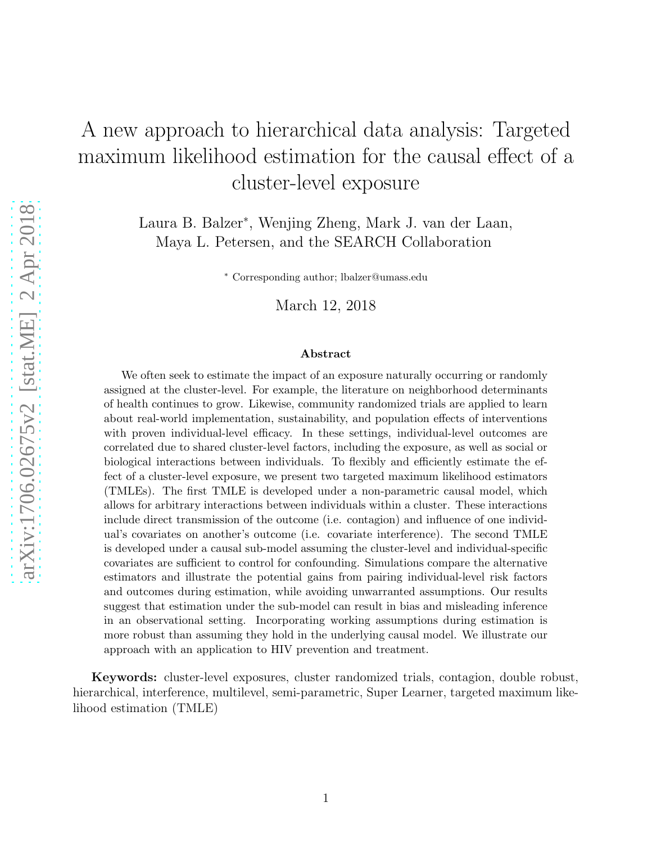# A new approach to hierarchical data analysis: Targeted maximum likelihood estimation for the causal effect of a cluster-level exposure

Laura B. Balzer<sup>∗</sup> , Wenjing Zheng, Mark J. van der Laan, Maya L. Petersen, and the SEARCH Collaboration

<sup>∗</sup> Corresponding author; lbalzer@umass.edu

March 12, 2018

#### Abstract

We often seek to estimate the impact of an exposure naturally occurring or randomly assigned at the cluster-level. For example, the literature on neighborhood determinants of health continues to grow. Likewise, community randomized trials are applied to learn about real-world implementation, sustainability, and population effects of interventions with proven individual-level efficacy. In these settings, individual-level outcomes are correlated due to shared cluster-level factors, including the exposure, as well as social or biological interactions between individuals. To flexibly and efficiently estimate the effect of a cluster-level exposure, we present two targeted maximum likelihood estimators (TMLEs). The first TMLE is developed under a non-parametric causal model, which allows for arbitrary interactions between individuals within a cluster. These interactions include direct transmission of the outcome (i.e. contagion) and influence of one individual's covariates on another's outcome (i.e. covariate interference). The second TMLE is developed under a causal sub-model assuming the cluster-level and individual-specific covariates are sufficient to control for confounding. Simulations compare the alternative estimators and illustrate the potential gains from pairing individual-level risk factors and outcomes during estimation, while avoiding unwarranted assumptions. Our results suggest that estimation under the sub-model can result in bias and misleading inference in an observational setting. Incorporating working assumptions during estimation is more robust than assuming they hold in the underlying causal model. We illustrate our approach with an application to HIV prevention and treatment.

Keywords: cluster-level exposures, cluster randomized trials, contagion, double robust, hierarchical, interference, multilevel, semi-parametric, Super Learner, targeted maximum likelihood estimation (TMLE)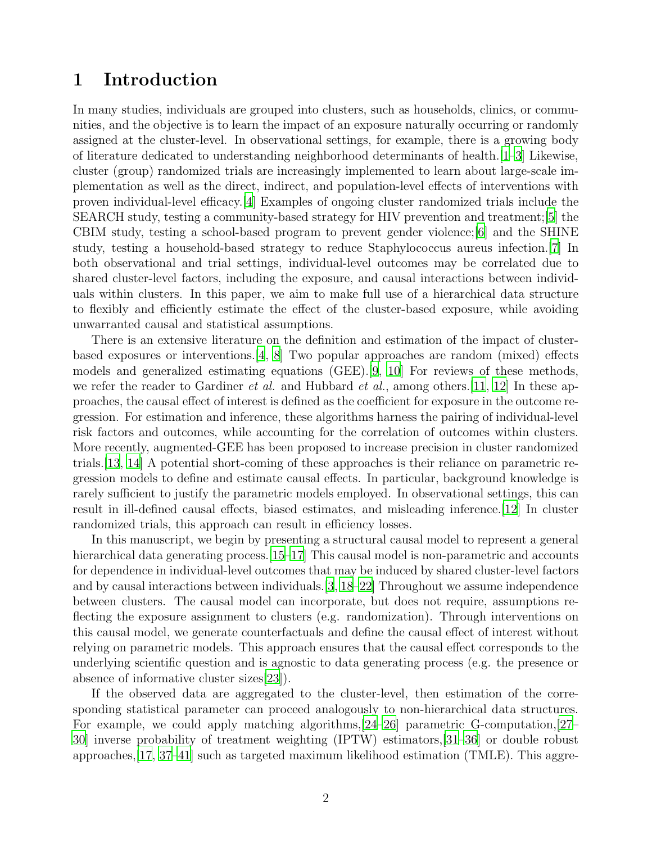### 1 Introduction

In many studies, individuals are grouped into clusters, such as households, clinics, or communities, and the objective is to learn the impact of an exposure naturally occurring or randomly assigned at the cluster-level. In observational settings, for example, there is a growing body of literature dedicated to understanding neighborhood determinants of health.[\[1](#page-32-0)[–3](#page-32-1)] Likewise, cluster (group) randomized trials are increasingly implemented to learn about large-scale implementation as well as the direct, indirect, and population-level effects of interventions with proven individual-level efficacy.[\[4](#page-32-2)] Examples of ongoing cluster randomized trials include the SEARCH study, testing a community-based strategy for HIV prevention and treatment;[\[5](#page-32-3)] the CBIM study, testing a school-based program to prevent gender violence;[\[6](#page-32-4)] and the SHINE study, testing a household-based strategy to reduce Staphylococcus aureus infection.[\[7](#page-32-5)] In both observational and trial settings, individual-level outcomes may be correlated due to shared cluster-level factors, including the exposure, and causal interactions between individuals within clusters. In this paper, we aim to make full use of a hierarchical data structure to flexibly and efficiently estimate the effect of the cluster-based exposure, while avoiding unwarranted causal and statistical assumptions.

There is an extensive literature on the definition and estimation of the impact of clusterbased exposures or interventions.[\[4](#page-32-2), [8](#page-32-6)] Two popular approaches are random (mixed) effects models and generalized estimating equations (GEE).[\[9,](#page-32-7) [10](#page-32-8)] For reviews of these methods, we refer the reader to Gardiner *et al.* and Hubbard *et al.*, among others.[\[11](#page-32-9), [12](#page-32-10)] In these approaches, the causal effect of interest is defined as the coefficient for exposure in the outcome regression. For estimation and inference, these algorithms harness the pairing of individual-level risk factors and outcomes, while accounting for the correlation of outcomes within clusters. More recently, augmented-GEE has been proposed to increase precision in cluster randomized trials.[\[13,](#page-32-11) [14](#page-33-0)] A potential short-coming of these approaches is their reliance on parametric regression models to define and estimate causal effects. In particular, background knowledge is rarely sufficient to justify the parametric models employed. In observational settings, this can result in ill-defined causal effects, biased estimates, and misleading inference.[\[12](#page-32-10)] In cluster randomized trials, this approach can result in efficiency losses.

In this manuscript, we begin by presenting a structural causal model to represent a general hierarchical data generating process. [\[15](#page-33-1)[–17](#page-33-2)] This causal model is non-parametric and accounts for dependence in individual-level outcomes that may be induced by shared cluster-level factors and by causal interactions between individuals.[\[3](#page-32-1), [18](#page-33-3)[–22](#page-33-4)] Throughout we assume independence between clusters. The causal model can incorporate, but does not require, assumptions reflecting the exposure assignment to clusters (e.g. randomization). Through interventions on this causal model, we generate counterfactuals and define the causal effect of interest without relying on parametric models. This approach ensures that the causal effect corresponds to the underlying scientific question and is agnostic to data generating process (e.g. the presence or absence of informative cluster sizes[\[23](#page-33-5)]).

If the observed data are aggregated to the cluster-level, then estimation of the corresponding statistical parameter can proceed analogously to non-hierarchical data structures. For example, we could apply matching algorithms,[\[24](#page-33-6)[–26\]](#page-33-7) parametric G-computation,[\[27–](#page-33-8) [30](#page-34-0)] inverse probability of treatment weighting (IPTW) estimators,[\[31](#page-34-1)[–36](#page-34-2)] or double robust approaches,[\[17,](#page-33-2) [37](#page-34-3)[–41\]](#page-34-4) such as targeted maximum likelihood estimation (TMLE). This aggre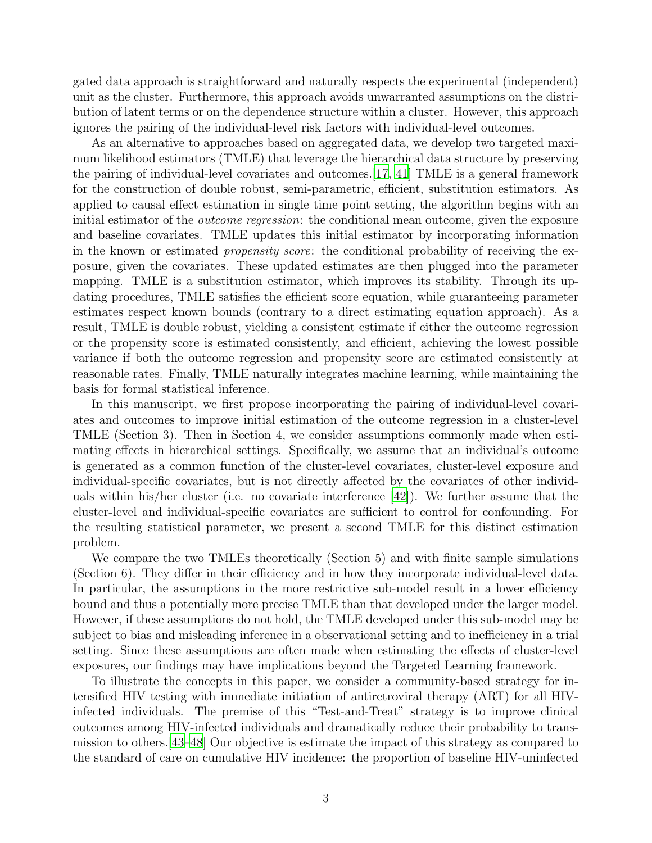gated data approach is straightforward and naturally respects the experimental (independent) unit as the cluster. Furthermore, this approach avoids unwarranted assumptions on the distribution of latent terms or on the dependence structure within a cluster. However, this approach ignores the pairing of the individual-level risk factors with individual-level outcomes.

As an alternative to approaches based on aggregated data, we develop two targeted maximum likelihood estimators (TMLE) that leverage the hierarchical data structure by preserving the pairing of individual-level covariates and outcomes.[\[17,](#page-33-2) [41\]](#page-34-4) TMLE is a general framework for the construction of double robust, semi-parametric, efficient, substitution estimators. As applied to causal effect estimation in single time point setting, the algorithm begins with an initial estimator of the outcome regression: the conditional mean outcome, given the exposure and baseline covariates. TMLE updates this initial estimator by incorporating information in the known or estimated propensity score: the conditional probability of receiving the exposure, given the covariates. These updated estimates are then plugged into the parameter mapping. TMLE is a substitution estimator, which improves its stability. Through its updating procedures, TMLE satisfies the efficient score equation, while guaranteeing parameter estimates respect known bounds (contrary to a direct estimating equation approach). As a result, TMLE is double robust, yielding a consistent estimate if either the outcome regression or the propensity score is estimated consistently, and efficient, achieving the lowest possible variance if both the outcome regression and propensity score are estimated consistently at reasonable rates. Finally, TMLE naturally integrates machine learning, while maintaining the basis for formal statistical inference.

In this manuscript, we first propose incorporating the pairing of individual-level covariates and outcomes to improve initial estimation of the outcome regression in a cluster-level TMLE (Section 3). Then in Section 4, we consider assumptions commonly made when estimating effects in hierarchical settings. Specifically, we assume that an individual's outcome is generated as a common function of the cluster-level covariates, cluster-level exposure and individual-specific covariates, but is not directly affected by the covariates of other individuals within his/her cluster (i.e. no covariate interference [\[42\]](#page-34-5)). We further assume that the cluster-level and individual-specific covariates are sufficient to control for confounding. For the resulting statistical parameter, we present a second TMLE for this distinct estimation problem.

We compare the two TMLEs theoretically (Section 5) and with finite sample simulations (Section 6). They differ in their efficiency and in how they incorporate individual-level data. In particular, the assumptions in the more restrictive sub-model result in a lower efficiency bound and thus a potentially more precise TMLE than that developed under the larger model. However, if these assumptions do not hold, the TMLE developed under this sub-model may be subject to bias and misleading inference in a observational setting and to inefficiency in a trial setting. Since these assumptions are often made when estimating the effects of cluster-level exposures, our findings may have implications beyond the Targeted Learning framework.

To illustrate the concepts in this paper, we consider a community-based strategy for intensified HIV testing with immediate initiation of antiretroviral therapy (ART) for all HIVinfected individuals. The premise of this "Test-and-Treat" strategy is to improve clinical outcomes among HIV-infected individuals and dramatically reduce their probability to transmission to others.[\[43](#page-35-0)[–48\]](#page-35-1) Our objective is estimate the impact of this strategy as compared to the standard of care on cumulative HIV incidence: the proportion of baseline HIV-uninfected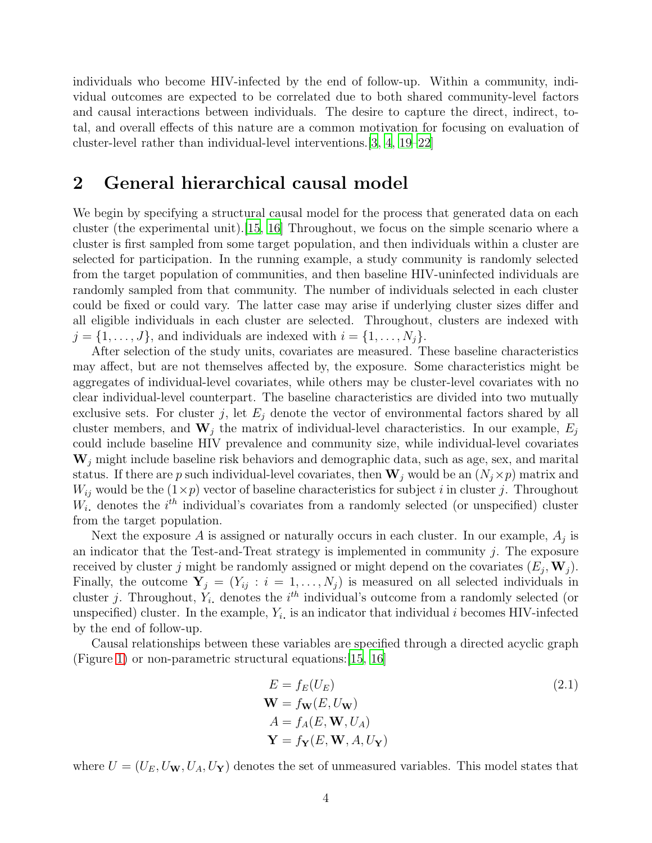individuals who become HIV-infected by the end of follow-up. Within a community, individual outcomes are expected to be correlated due to both shared community-level factors and causal interactions between individuals. The desire to capture the direct, indirect, total, and overall effects of this nature are a common motivation for focusing on evaluation of cluster-level rather than individual-level interventions.[\[3,](#page-32-1) [4](#page-32-2), [19](#page-33-9)[–22\]](#page-33-4)

## 2 General hierarchical causal model

We begin by specifying a structural causal model for the process that generated data on each cluster (the experimental unit).[\[15](#page-33-1), [16](#page-33-10)] Throughout, we focus on the simple scenario where a cluster is first sampled from some target population, and then individuals within a cluster are selected for participation. In the running example, a study community is randomly selected from the target population of communities, and then baseline HIV-uninfected individuals are randomly sampled from that community. The number of individuals selected in each cluster could be fixed or could vary. The latter case may arise if underlying cluster sizes differ and all eligible individuals in each cluster are selected. Throughout, clusters are indexed with  $j = \{1, \ldots, J\}$ , and individuals are indexed with  $i = \{1, \ldots, N_j\}$ .

After selection of the study units, covariates are measured. These baseline characteristics may affect, but are not themselves affected by, the exposure. Some characteristics might be aggregates of individual-level covariates, while others may be cluster-level covariates with no clear individual-level counterpart. The baseline characteristics are divided into two mutually exclusive sets. For cluster j, let  $E_j$  denote the vector of environmental factors shared by all cluster members, and  $W_j$  the matrix of individual-level characteristics. In our example,  $E_j$ could include baseline HIV prevalence and community size, while individual-level covariates  $\mathbf{W}_j$  might include baseline risk behaviors and demographic data, such as age, sex, and marital status. If there are p such individual-level covariates, then  $W_j$  would be an  $(N_j \times p)$  matrix and  $W_{ij}$  would be the  $(1 \times p)$  vector of baseline characteristics for subject i in cluster j. Throughout  $W_i$ , denotes the  $i<sup>th</sup>$  individual's covariates from a randomly selected (or unspecified) cluster from the target population.

Next the exposure A is assigned or naturally occurs in each cluster. In our example,  $A_j$  is an indicator that the Test-and-Treat strategy is implemented in community  $j$ . The exposure received by cluster j might be randomly assigned or might depend on the covariates  $(E_j, \mathbf{W}_j)$ . Finally, the outcome  $Y_j = (Y_{ij} : i = 1, ..., N_j)$  is measured on all selected individuals in cluster *j*. Throughout,  $Y_i$ , denotes the  $i^{th}$  individual's outcome from a randomly selected (or unspecified) cluster. In the example,  $Y_i$  is an indicator that individual i becomes HIV-infected by the end of follow-up.

Causal relationships between these variables are specified through a directed acyclic graph (Figure [1\)](#page-4-0) or non-parametric structural equations:[\[15](#page-33-1), [16\]](#page-33-10)

<span id="page-3-0"></span>
$$
E = f_E(U_E)
$$
  
\n
$$
\mathbf{W} = f_{\mathbf{W}}(E, U_{\mathbf{W}})
$$
  
\n
$$
A = f_A(E, \mathbf{W}, U_A)
$$
  
\n
$$
\mathbf{Y} = f_{\mathbf{Y}}(E, \mathbf{W}, A, U_{\mathbf{Y}})
$$
\n(2.1)

where  $U = (U_E, U_{\mathbf{W}}, U_A, U_{\mathbf{Y}})$  denotes the set of unmeasured variables. This model states that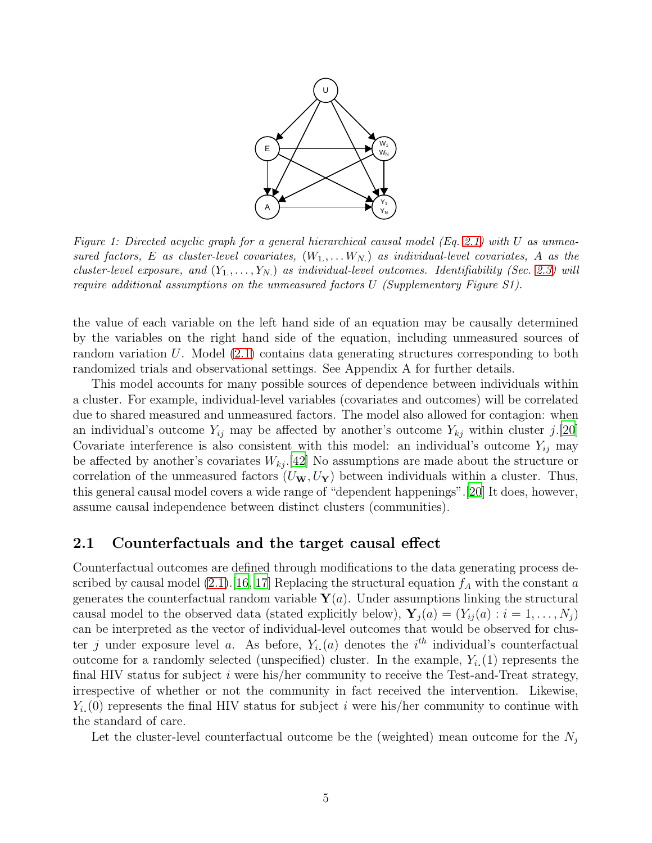<span id="page-4-0"></span>

Figure 1: Directed acyclic graph for a general hierarchical causal model (Eq. [2.1\)](#page-3-0) with U as unmeasured factors, E as cluster-level covariates,  $(W_1, \ldots W_N)$  as individual-level covariates, A as the cluster-level exposure, and  $(Y_1, \ldots, Y_N)$  as individual-level outcomes. Identifiability (Sec. [2.3\)](#page-5-0) will require additional assumptions on the unmeasured factors U (Supplementary Figure S1).

the value of each variable on the left hand side of an equation may be causally determined by the variables on the right hand side of the equation, including unmeasured sources of random variation U. Model [\(2.1\)](#page-3-0) contains data generating structures corresponding to both randomized trials and observational settings. See Appendix A for further details.

This model accounts for many possible sources of dependence between individuals within a cluster. For example, individual-level variables (covariates and outcomes) will be correlated due to shared measured and unmeasured factors. The model also allowed for contagion: when an individual's outcome  $Y_{ij}$  may be affected by another's outcome  $Y_{kj}$  within cluster j.[\[20](#page-33-11)] Covariate interference is also consistent with this model: an individual's outcome  $Y_{ij}$  may be affected by another's covariates  $W_{kj}$ . [\[42\]](#page-34-5) No assumptions are made about the structure or correlation of the unmeasured factors  $(U_{\mathbf{W}}, U_{\mathbf{Y}})$  between individuals within a cluster. Thus, this general causal model covers a wide range of "dependent happenings".[\[20\]](#page-33-11) It does, however, assume causal independence between distinct clusters (communities).

### 2.1 Counterfactuals and the target causal effect

Counterfactual outcomes are defined through modifications to the data generating process described by causal model  $(2.1)$ .[\[16,](#page-33-10) [17\]](#page-33-2) Replacing the structural equation  $f_A$  with the constant a generates the counterfactual random variable  $Y(a)$ . Under assumptions linking the structural causal model to the observed data (stated explicitly below),  $\mathbf{Y}_i(a) = (Y_{ij}(a) : i = 1, \ldots, N_j)$ can be interpreted as the vector of individual-level outcomes that would be observed for cluster j under exposure level a. As before,  $Y_{i.}(a)$  denotes the  $i^{th}$  individual's counterfactual outcome for a randomly selected (unspecified) cluster. In the example,  $Y_i$ .(1) represents the final HIV status for subject i were his/her community to receive the Test-and-Treat strategy, irrespective of whether or not the community in fact received the intervention. Likewise,  $Y_i(0)$  represents the final HIV status for subject i were his/her community to continue with the standard of care.

Let the cluster-level counterfactual outcome be the (weighted) mean outcome for the  $N_i$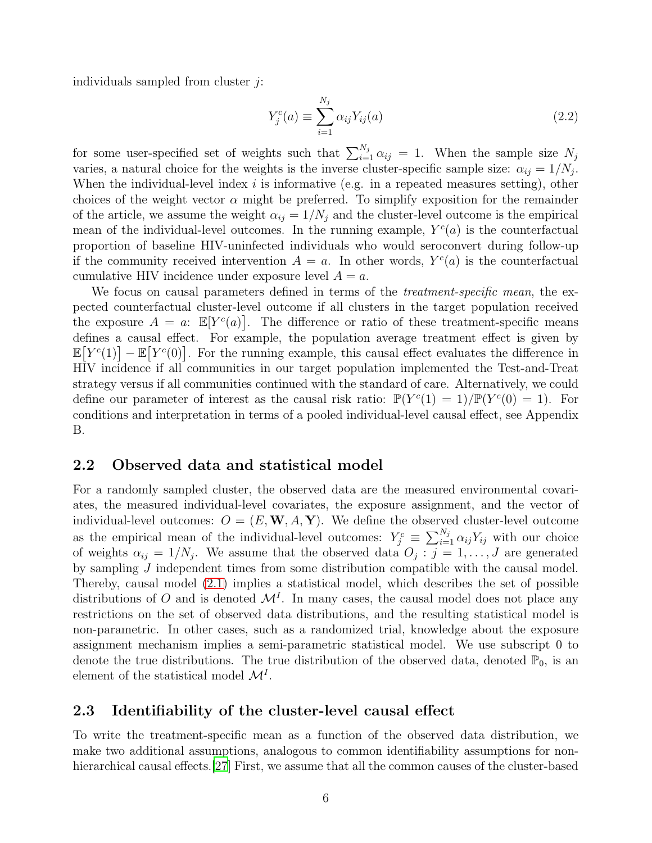individuals sampled from cluster  $j$ :

$$
Y_j^c(a) \equiv \sum_{i=1}^{N_j} \alpha_{ij} Y_{ij}(a) \tag{2.2}
$$

for some user-specified set of weights such that  $\sum_{i=1}^{N_j} \alpha_{ij} = 1$ . When the sample size  $N_j$ varies, a natural choice for the weights is the inverse cluster-specific sample size:  $\alpha_{ij} = 1/N_j$ . When the individual-level index  $i$  is informative (e.g. in a repeated measures setting), other choices of the weight vector  $\alpha$  might be preferred. To simplify exposition for the remainder of the article, we assume the weight  $\alpha_{ij} = 1/N_j$  and the cluster-level outcome is the empirical mean of the individual-level outcomes. In the running example,  $Y<sup>c</sup>(a)$  is the counterfactual proportion of baseline HIV-uninfected individuals who would seroconvert during follow-up if the community received intervention  $A = a$ . In other words,  $Y<sup>c</sup>(a)$  is the counterfactual cumulative HIV incidence under exposure level  $A = a$ .

We focus on causal parameters defined in terms of the *treatment-specific mean*, the expected counterfactual cluster-level outcome if all clusters in the target population received the exposure  $A = a$ :  $\mathbb{E}[Y^c(a)]$ . The difference or ratio of these treatment-specific means defines a causal effect. For example, the population average treatment effect is given by  $\mathbb{E}[Y^{c}(1)] - \mathbb{E}[Y^{c}(0)]$ . For the running example, this causal effect evaluates the difference in HIV incidence if all communities in our target population implemented the Test-and-Treat strategy versus if all communities continued with the standard of care. Alternatively, we could define our parameter of interest as the causal risk ratio:  $\mathbb{P}(Y^{c}(1) = 1)/\mathbb{P}(Y^{c}(0) = 1)$ . For conditions and interpretation in terms of a pooled individual-level causal effect, see Appendix B.

#### 2.2 Observed data and statistical model

For a randomly sampled cluster, the observed data are the measured environmental covariates, the measured individual-level covariates, the exposure assignment, and the vector of individual-level outcomes:  $O = (E, \mathbf{W}, A, \mathbf{Y})$ . We define the observed cluster-level outcome as the empirical mean of the individual-level outcomes:  $Y_j^c \equiv \sum_{i=1}^{N_j} \alpha_{ij} Y_{ij}$  with our choice of weights  $\alpha_{ij} = 1/N_j$ . We assume that the observed data  $O_j : j = 1, \ldots, J$  are generated by sampling J independent times from some distribution compatible with the causal model. Thereby, causal model [\(2.1\)](#page-3-0) implies a statistical model, which describes the set of possible distributions of O and is denoted  $\mathcal{M}^{I}$ . In many cases, the causal model does not place any restrictions on the set of observed data distributions, and the resulting statistical model is non-parametric. In other cases, such as a randomized trial, knowledge about the exposure assignment mechanism implies a semi-parametric statistical model. We use subscript 0 to denote the true distributions. The true distribution of the observed data, denoted  $\mathbb{P}_0$ , is an element of the statistical model  $\mathcal{M}^I$ .

#### <span id="page-5-0"></span>2.3 Identifiability of the cluster-level causal effect

To write the treatment-specific mean as a function of the observed data distribution, we make two additional assumptions, analogous to common identifiability assumptions for non-hierarchical causal effects.<sup>[\[27](#page-33-8)]</sup> First, we assume that all the common causes of the cluster-based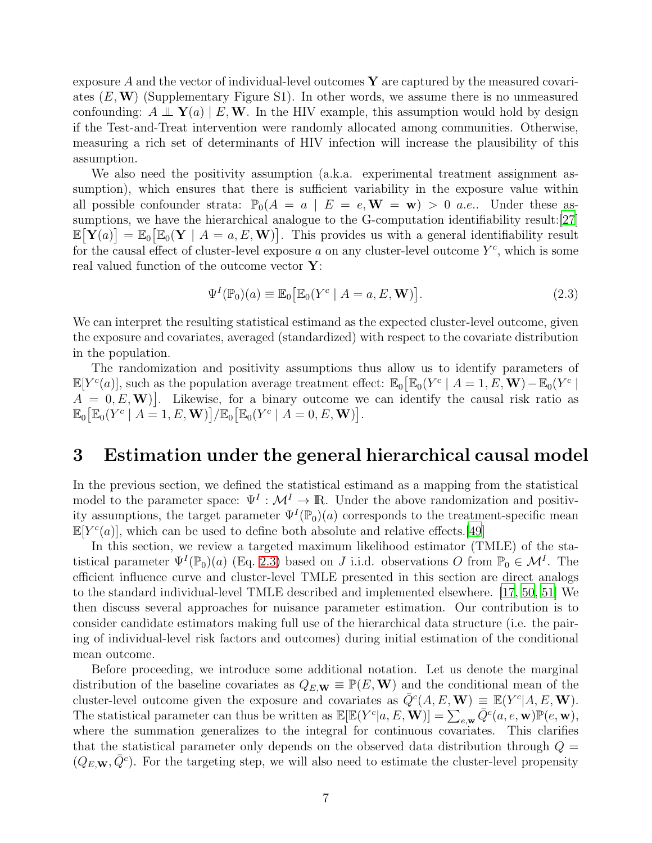exposure A and the vector of individual-level outcomes  $\mathbf Y$  are captured by the measured covariates  $(E, \mathbf{W})$  (Supplementary Figure S1). In other words, we assume there is no unmeasured confounding:  $A \perp \!\!\!\perp \mathbf{Y}(a) \mid E, \mathbf{W}$ . In the HIV example, this assumption would hold by design if the Test-and-Treat intervention were randomly allocated among communities. Otherwise, measuring a rich set of determinants of HIV infection will increase the plausibility of this assumption.

We also need the positivity assumption (a.k.a. experimental treatment assignment assumption), which ensures that there is sufficient variability in the exposure value within all possible confounder strata:  $\mathbb{P}_0(A = a \mid E = e, \mathbf{W} = \mathbf{w}) > 0$  a.e.. Under these as-sumptions, we have the hierarchical analogue to the G-computation identifiability result: [\[27](#page-33-8)]  $\mathbb{E}[\mathbf{Y}(a)] = \mathbb{E}_0[\mathbb{E}_0(\mathbf{Y} \mid A = a, E, \mathbf{W})].$  This provides us with a general identifiability result for the causal effect of cluster-level exposure a on any cluster-level outcome  $Y^c$ , which is some real valued function of the outcome vector  $\mathbf{Y}$ :

<span id="page-6-0"></span>
$$
\Psi^{I}(\mathbb{P}_{0})(a) \equiv \mathbb{E}_{0}[\mathbb{E}_{0}(Y^{c} \mid A=a, E, \mathbf{W})]. \tag{2.3}
$$

We can interpret the resulting statistical estimand as the expected cluster-level outcome, given the exposure and covariates, averaged (standardized) with respect to the covariate distribution in the population.

The randomization and positivity assumptions thus allow us to identify parameters of  $\mathbb{E}[Y^c(a)]$ , such as the population average treatment effect:  $\mathbb{E}_0[\mathbb{E}_0(Y^c \mid A = 1, E, \mathbf{W}) - \mathbb{E}_0(Y^c \mid A])$  $A = 0, E, W$ ]. Likewise, for a binary outcome we can identify the causal risk ratio as  $\mathbb{E}_0\bigl[ \mathbb{E}_0(Y^c \mid A = 1, E, \mathbf{W}) \bigr] / \mathbb{E}_0\bigl[ \mathbb{E}_0(Y^c \mid A = 0, E, \mathbf{W}) \bigr].$ 

### <span id="page-6-1"></span>3 Estimation under the general hierarchical causal model

In the previous section, we defined the statistical estimand as a mapping from the statistical model to the parameter space:  $\Psi^I : \mathcal{M}^I \to \mathbb{R}$ . Under the above randomization and positivity assumptions, the target parameter  $\Psi^I(\mathbb{P}_0)(a)$  corresponds to the treatment-specific mean  $\mathbb{E}[Y^c(a)]$ , which can be used to define both absolute and relative effects.[\[49\]](#page-35-2)

In this section, we review a targeted maximum likelihood estimator (TMLE) of the statistical parameter  $\Psi^I(\mathbb{P}_0)(a)$  (Eq. [2.3\)](#page-6-0) based on J i.i.d. observations O from  $\mathbb{P}_0 \in \mathcal{M}^I$ . The efficient influence curve and cluster-level TMLE presented in this section are direct analogs to the standard individual-level TMLE described and implemented elsewhere. [\[17,](#page-33-2) [50](#page-35-3), [51\]](#page-35-4) We then discuss several approaches for nuisance parameter estimation. Our contribution is to consider candidate estimators making full use of the hierarchical data structure (i.e. the pairing of individual-level risk factors and outcomes) during initial estimation of the conditional mean outcome.

Before proceeding, we introduce some additional notation. Let us denote the marginal distribution of the baseline covariates as  $Q_{E,\mathbf{W}} \equiv \mathbb{P}(E,\mathbf{W})$  and the conditional mean of the cluster-level outcome given the exposure and covariates as  $\overline{Q}^c(A, E, \mathbf{W}) \equiv \mathbb{E}(Y^c | A, E, \mathbf{W}).$ The statistical parameter can thus be written as  $\mathbb{E}[\mathbb{E}(Y^{c}|a, E, \mathbf{W})] = \sum_{e, \mathbf{w}} \bar{Q}^{c}(a, e, \mathbf{w}) \mathbb{P}(e, \mathbf{w}),$ where the summation generalizes to the integral for continuous covariates. This clarifies that the statistical parameter only depends on the observed data distribution through  $Q =$  $(Q_{E,\mathbf{W}}, \bar{Q}^c)$ . For the targeting step, we will also need to estimate the cluster-level propensity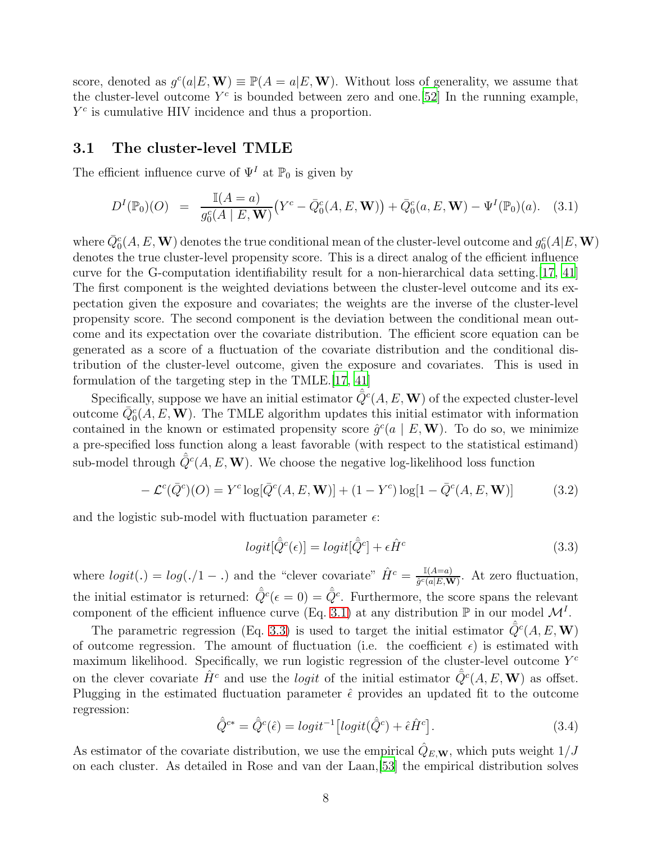score, denoted as  $g^{c}(a|E, \mathbf{W}) \equiv \mathbb{P}(A = a|E, \mathbf{W})$ . Without loss of generality, we assume that the cluster-level outcome  $Y<sup>c</sup>$  is bounded between zero and one. [\[52\]](#page-35-5) In the running example, Y<sup>c</sup> is cumulative HIV incidence and thus a proportion.

#### 3.1 The cluster-level TMLE

The efficient influence curve of  $\Psi^I$  at  $\mathbb{P}_0$  is given by

<span id="page-7-0"></span>
$$
D^{I}(\mathbb{P}_{0})(O) = \frac{\mathbb{I}(A=a)}{g_{0}^{c}(A \mid E, \mathbf{W})} (Y^{c} - \bar{Q}_{0}^{c}(A, E, \mathbf{W})) + \bar{Q}_{0}^{c}(a, E, \mathbf{W}) - \Psi^{I}(\mathbb{P}_{0})(a). \quad (3.1)
$$

where  $\bar{Q}_0^c(A, E, {\bf W})$  denotes the true conditional mean of the cluster-level outcome and  $g_0^c(A | E, {\bf W})$ denotes the true cluster-level propensity score. This is a direct analog of the efficient influence curve for the G-computation identifiability result for a non-hierarchical data setting.[\[17](#page-33-2), [41](#page-34-4)] The first component is the weighted deviations between the cluster-level outcome and its expectation given the exposure and covariates; the weights are the inverse of the cluster-level propensity score. The second component is the deviation between the conditional mean outcome and its expectation over the covariate distribution. The efficient score equation can be generated as a score of a fluctuation of the covariate distribution and the conditional distribution of the cluster-level outcome, given the exposure and covariates. This is used in formulation of the targeting step in the TMLE.[\[17](#page-33-2), [41](#page-34-4)]

Specifically, suppose we have an initial estimator  $\hat{Q}^c(A, E, \mathbf{W})$  of the expected cluster-level outcome  $\bar{Q}_0^c(A, E, \mathbf{W})$ . The TMLE algorithm updates this initial estimator with information contained in the known or estimated propensity score  $\hat{g}^c(a \mid E, \mathbf{W})$ . To do so, we minimize a pre-specified loss function along a least favorable (with respect to the statistical estimand) sub-model through  $\hat{Q}^c(A, E, \mathbf{W})$ . We choose the negative log-likelihood loss function

$$
- \mathcal{L}^c(\bar{Q}^c)(O) = Y^c \log[\bar{Q}^c(A, E, \mathbf{W})] + (1 - Y^c) \log[1 - \bar{Q}^c(A, E, \mathbf{W})]
$$
(3.2)

and the logistic sub-model with fluctuation parameter  $\epsilon$ :

<span id="page-7-1"></span>
$$
logit[\hat{\bar{Q}}^c(\epsilon)] = logit[\hat{\bar{Q}}^c] + \epsilon \hat{H}^c
$$
\n(3.3)

where  $logit(.) = log(. / 1 - .)$  and the "clever covariate"  $\hat{H}^c = \frac{\mathbb{I}(A=a)}{\hat{a}^c(a)E \cdot \mathbf{W}}$  $\frac{\mathbb{I}(A=a)}{\hat{g}^c(a|E,\mathbf{W})}$ . At zero fluctuation, the initial estimator is returned:  $\hat{Q}^c(\epsilon=0) = \hat{Q}^c$ . Furthermore, the score spans the relevant component of the efficient influence curve (Eq. [3.1\)](#page-7-0) at any distribution  $\mathbb P$  in our model  $\mathcal M^I$ .

The parametric regression (Eq. [3.3\)](#page-7-1) is used to target the initial estimator  $\hat{Q}^c(A, E, \mathbf{W})$ of outcome regression. The amount of fluctuation (i.e. the coefficient  $\epsilon$ ) is estimated with maximum likelihood. Specifically, we run logistic regression of the cluster-level outcome  $Y^c$ on the clever covariate  $\hat{H}^c$  and use the *logit* of the initial estimator  $\hat{Q}^c(A, E, \mathbf{W})$  as offset. Plugging in the estimated fluctuation parameter  $\hat{\epsilon}$  provides an updated fit to the outcome regression:

$$
\hat{\bar{Q}}^{c*} = \hat{\bar{Q}}^c(\hat{\epsilon}) = logit^{-1} [logit(\hat{\bar{Q}}^c) + \hat{\epsilon}\hat{H}^c].
$$
\n(3.4)

As estimator of the covariate distribution, we use the empirical  $\hat{Q}_{E,\mathbf{W}}$ , which puts weight  $1/J$ on each cluster. As detailed in Rose and van der Laan,[\[53\]](#page-35-6) the empirical distribution solves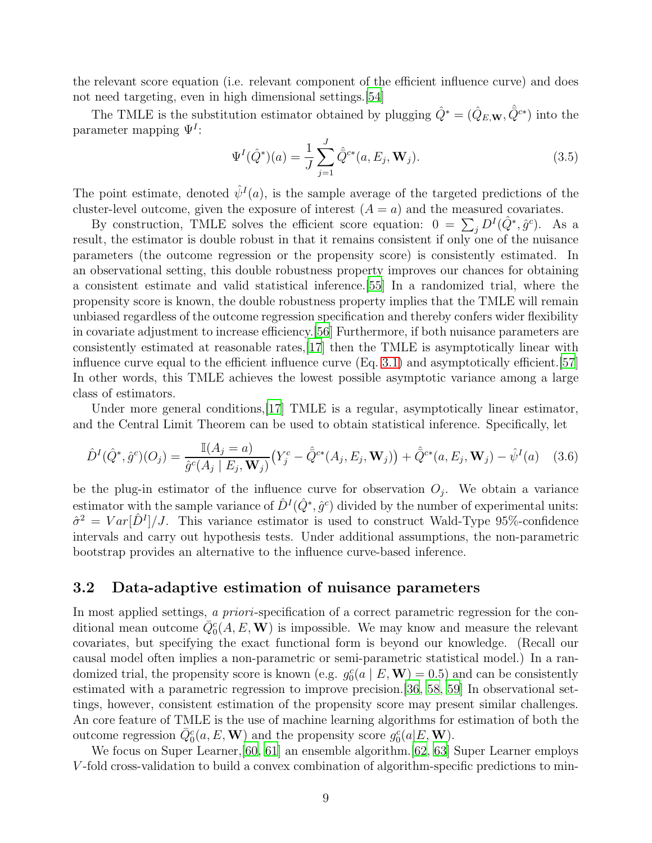the relevant score equation (i.e. relevant component of the efficient influence curve) and does not need targeting, even in high dimensional settings.[\[54\]](#page-35-7)

The TMLE is the substitution estimator obtained by plugging  $\hat{Q}^* = (\hat{Q}_{E,\mathbf{W}}, \hat{\bar{Q}}^{c*})$  into the parameter mapping  $\Psi^I$ :

$$
\Psi^{I}(\hat{Q}^{*})(a) = \frac{1}{J} \sum_{j=1}^{J} \hat{Q}^{c*}(a, E_j, \mathbf{W}_j).
$$
\n(3.5)

The point estimate, denoted  $\hat{\psi}^{I}(a)$ , is the sample average of the targeted predictions of the cluster-level outcome, given the exposure of interest  $(A = a)$  and the measured covariates.

By construction, TMLE solves the efficient score equation:  $0 = \sum_j D^I(\hat{Q}^*, \hat{g}^c)$ . As a result, the estimator is double robust in that it remains consistent if only one of the nuisance parameters (the outcome regression or the propensity score) is consistently estimated. In an observational setting, this double robustness property improves our chances for obtaining a consistent estimate and valid statistical inference.[\[55](#page-35-8)] In a randomized trial, where the propensity score is known, the double robustness property implies that the TMLE will remain unbiased regardless of the outcome regression specification and thereby confers wider flexibility in covariate adjustment to increase efficiency.[\[56](#page-36-0)] Furthermore, if both nuisance parameters are consistently estimated at reasonable rates,[\[17](#page-33-2)] then the TMLE is asymptotically linear with influence curve equal to the efficient influence curve (Eq. [3.1\)](#page-7-0) and asymptotically efficient.[\[57](#page-36-1)] In other words, this TMLE achieves the lowest possible asymptotic variance among a large class of estimators.

Under more general conditions, [\[17](#page-33-2)] TMLE is a regular, asymptotically linear estimator, and the Central Limit Theorem can be used to obtain statistical inference. Specifically, let

$$
\hat{D}^{I}(\hat{Q}^{*}, \hat{g}^{c})(O_{j}) = \frac{\mathbb{I}(A_{j} = a)}{\hat{g}^{c}(A_{j} | E_{j}, \mathbf{W}_{j})} (Y_{j}^{c} - \hat{\bar{Q}}^{c*}(A_{j}, E_{j}, \mathbf{W}_{j})) + \hat{\bar{Q}}^{c*}(a, E_{j}, \mathbf{W}_{j}) - \hat{\psi}^{I}(a)
$$
(3.6)

be the plug-in estimator of the influence curve for observation  $O_j$ . We obtain a variance estimator with the sample variance of  $\hat{D}^{I}(\hat{Q}^*, \hat{g}^c)$  divided by the number of experimental units:  $\hat{\sigma}^2 = Var[\hat{D}^I]/J$ . This variance estimator is used to construct Wald-Type 95%-confidence intervals and carry out hypothesis tests. Under additional assumptions, the non-parametric bootstrap provides an alternative to the influence curve-based inference.

### 3.2 Data-adaptive estimation of nuisance parameters

In most applied settings, a priori-specification of a correct parametric regression for the conditional mean outcome  $\overline{Q}_{0}^{c}(A, E, \mathbf{W})$  is impossible. We may know and measure the relevant covariates, but specifying the exact functional form is beyond our knowledge. (Recall our causal model often implies a non-parametric or semi-parametric statistical model.) In a randomized trial, the propensity score is known (e.g.  $g_0^c(a \mid E, \mathbf{W}) = 0.5$ ) and can be consistently estimated with a parametric regression to improve precision.[\[36](#page-34-2), [58](#page-36-2), [59](#page-36-3)] In observational settings, however, consistent estimation of the propensity score may present similar challenges. An core feature of TMLE is the use of machine learning algorithms for estimation of both the outcome regression  $\overline{Q}_0^c(a, E, \mathbf{W})$  and the propensity score  $g_0^c(a|E, \mathbf{W})$ .

We focus on Super Learner,[\[60](#page-36-4), [61\]](#page-36-5) an ensemble algorithm.[\[62,](#page-36-6) [63\]](#page-36-7) Super Learner employs V -fold cross-validation to build a convex combination of algorithm-specific predictions to min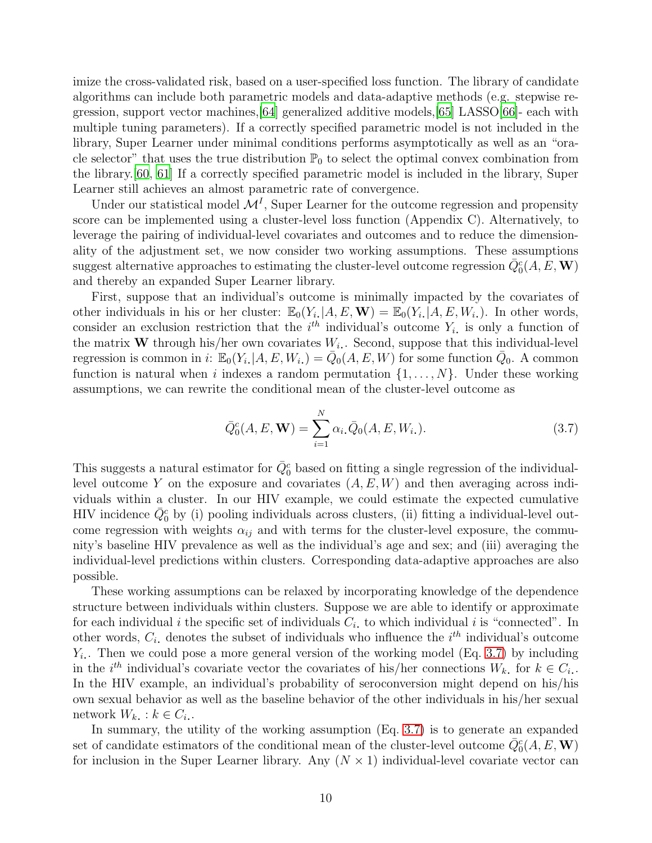imize the cross-validated risk, based on a user-specified loss function. The library of candidate algorithms can include both parametric models and data-adaptive methods (e.g. stepwise regression, support vector machines,[\[64](#page-36-8)] generalized additive models,[\[65\]](#page-36-9) LASSO[\[66\]](#page-36-10)- each with multiple tuning parameters). If a correctly specified parametric model is not included in the library, Super Learner under minimal conditions performs asymptotically as well as an "oracle selector" that uses the true distribution  $\mathbb{P}_0$  to select the optimal convex combination from the library.[\[60](#page-36-4), [61](#page-36-5)] If a correctly specified parametric model is included in the library, Super Learner still achieves an almost parametric rate of convergence.

Under our statistical model  $\mathcal{M}^{I}$ , Super Learner for the outcome regression and propensity score can be implemented using a cluster-level loss function (Appendix C). Alternatively, to leverage the pairing of individual-level covariates and outcomes and to reduce the dimensionality of the adjustment set, we now consider two working assumptions. These assumptions suggest alternative approaches to estimating the cluster-level outcome regression  $\bar{Q}_0^c(A, E, {\bf W})$ and thereby an expanded Super Learner library.

First, suppose that an individual's outcome is minimally impacted by the covariates of other individuals in his or her cluster:  $\mathbb{E}_0(Y_{i.}|A, E, \mathbf{W}) = \mathbb{E}_0(Y_{i.}|A, E, W_{i.})$ . In other words, consider an exclusion restriction that the  $i<sup>th</sup>$  individual's outcome  $Y_i$ , is only a function of the matrix **W** through his/her own covariates  $W_i$ . Second, suppose that this individual-level regression is common in i:  $\mathbb{E}_0(Y_{i.} | A, E, W_{i.}) = \bar{Q}_0(A, E, W)$  for some function  $\bar{Q}_0$ . A common function is natural when i indexes a random permutation  $\{1, \ldots, N\}$ . Under these working assumptions, we can rewrite the conditional mean of the cluster-level outcome as

<span id="page-9-0"></span>
$$
\bar{Q}_0^c(A, E, \mathbf{W}) = \sum_{i=1}^N \alpha_{i.} \bar{Q}_0(A, E, W_{i.}).
$$
\n(3.7)

This suggests a natural estimator for  $\bar{Q}_0^c$  based on fitting a single regression of the individuallevel outcome Y on the exposure and covariates  $(A, E, W)$  and then averaging across individuals within a cluster. In our HIV example, we could estimate the expected cumulative HIV incidence  $\bar{Q}_0^c$  by (i) pooling individuals across clusters, (ii) fitting a individual-level outcome regression with weights  $\alpha_{ij}$  and with terms for the cluster-level exposure, the community's baseline HIV prevalence as well as the individual's age and sex; and (iii) averaging the individual-level predictions within clusters. Corresponding data-adaptive approaches are also possible.

These working assumptions can be relaxed by incorporating knowledge of the dependence structure between individuals within clusters. Suppose we are able to identify or approximate for each individual i the specific set of individuals  $C_i$ , to which individual i is "connected". In other words,  $C_i$ , denotes the subset of individuals who influence the  $i^{th}$  individual's outcome  $Y_i$ . Then we could pose a more general version of the working model (Eq. [3.7\)](#page-9-0) by including in the  $i^{th}$  individual's covariate vector the covariates of his/her connections  $W_k$ , for  $k \in C_i$ . In the HIV example, an individual's probability of seroconversion might depend on his/his own sexual behavior as well as the baseline behavior of the other individuals in his/her sexual network  $W_k$ .  $k \in C_i$ .

In summary, the utility of the working assumption (Eq. [3.7\)](#page-9-0) is to generate an expanded set of candidate estimators of the conditional mean of the cluster-level outcome  $\bar{Q}_0^c(A, E, \mathbf{W})$ for inclusion in the Super Learner library. Any  $(N \times 1)$  individual-level covariate vector can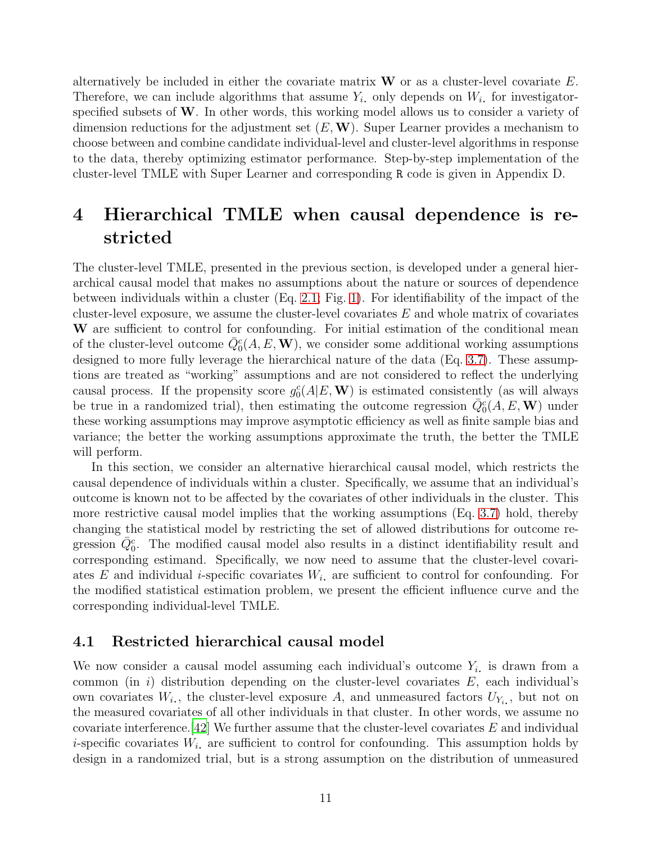alternatively be included in either the covariate matrix  $\bf{W}$  or as a cluster-level covariate  $E$ . Therefore, we can include algorithms that assume  $Y_i$ , only depends on  $W_i$ , for investigatorspecified subsets of  $W$ . In other words, this working model allows us to consider a variety of dimension reductions for the adjustment set  $(E, \mathbf{W})$ . Super Learner provides a mechanism to choose between and combine candidate individual-level and cluster-level algorithms in response to the data, thereby optimizing estimator performance. Step-by-step implementation of the cluster-level TMLE with Super Learner and corresponding R code is given in Appendix D.

# <span id="page-10-0"></span>4 Hierarchical TMLE when causal dependence is restricted

The cluster-level TMLE, presented in the previous section, is developed under a general hierarchical causal model that makes no assumptions about the nature or sources of dependence between individuals within a cluster (Eq. [2.1;](#page-3-0) Fig. [1\)](#page-4-0). For identifiability of the impact of the cluster-level exposure, we assume the cluster-level covariates  $E$  and whole matrix of covariates W are sufficient to control for confounding. For initial estimation of the conditional mean of the cluster-level outcome  $\bar{Q}_0^c(A, E, \mathbf{W})$ , we consider some additional working assumptions designed to more fully leverage the hierarchical nature of the data (Eq. [3.7\)](#page-9-0). These assumptions are treated as "working" assumptions and are not considered to reflect the underlying causal process. If the propensity score  $g_0^c(A|E, \mathbf{W})$  is estimated consistently (as will always be true in a randomized trial), then estimating the outcome regression  $\bar{Q}_0^c(A, E, W)$  under these working assumptions may improve asymptotic efficiency as well as finite sample bias and variance; the better the working assumptions approximate the truth, the better the TMLE will perform.

In this section, we consider an alternative hierarchical causal model, which restricts the causal dependence of individuals within a cluster. Specifically, we assume that an individual's outcome is known not to be affected by the covariates of other individuals in the cluster. This more restrictive causal model implies that the working assumptions (Eq. [3.7\)](#page-9-0) hold, thereby changing the statistical model by restricting the set of allowed distributions for outcome regression  $\overline{Q}_0^c$ . The modified causal model also results in a distinct identifiability result and corresponding estimand. Specifically, we now need to assume that the cluster-level covariates E and individual *i*-specific covariates  $W_i$ , are sufficient to control for confounding. For the modified statistical estimation problem, we present the efficient influence curve and the corresponding individual-level TMLE.

### 4.1 Restricted hierarchical causal model

We now consider a causal model assuming each individual's outcome  $Y_i$ , is drawn from a common (in  $i$ ) distribution depending on the cluster-level covariates  $E$ , each individual's own covariates  $W_i$ , the cluster-level exposure A, and unmeasured factors  $U_{Y_i}$ , but not on the measured covariates of all other individuals in that cluster. In other words, we assume no covariate interference.  $[42]$  $[42]$  We further assume that the cluster-level covariates E and individual *i*-specific covariates  $W_i$ , are sufficient to control for confounding. This assumption holds by design in a randomized trial, but is a strong assumption on the distribution of unmeasured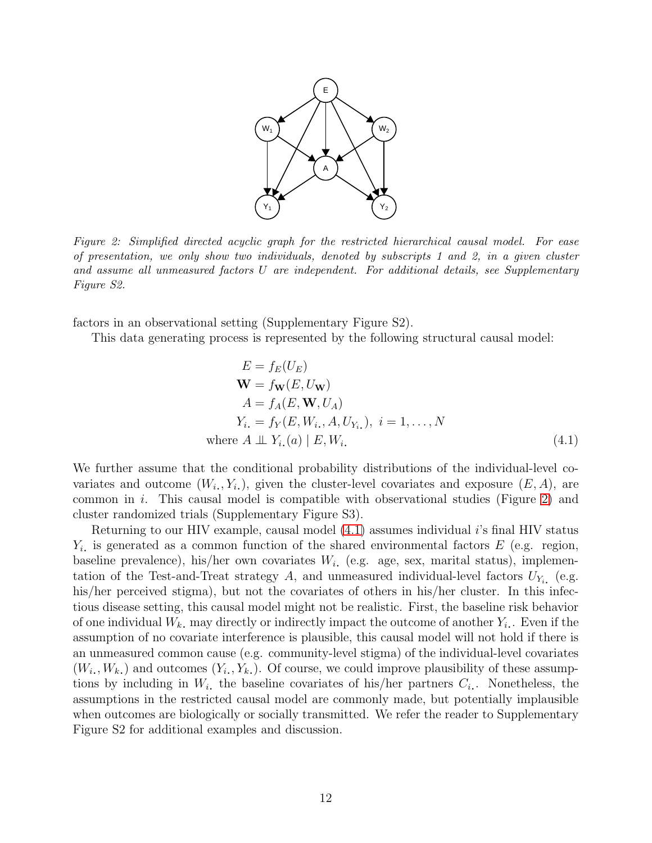<span id="page-11-0"></span>

Figure 2: Simplified directed acyclic graph for the restricted hierarchical causal model. For ease of presentation, we only show two individuals, denoted by subscripts 1 and 2, in a given cluster and assume all unmeasured factors U are independent. For additional details, see Supplementary Figure S2.

factors in an observational setting (Supplementary Figure S2).

This data generating process is represented by the following structural causal model:

<span id="page-11-1"></span>
$$
E = f_E(U_E)
$$
  
\n
$$
\mathbf{W} = f_{\mathbf{W}}(E, U_{\mathbf{W}})
$$
  
\n
$$
A = f_A(E, \mathbf{W}, U_A)
$$
  
\n
$$
Y_i. = f_Y(E, W_i, A, U_{Y_i.}), i = 1, ..., N
$$
  
\nwhere  $A \perp Y_i$ .  
\n(a) | E, W<sub>i</sub>. (4.1)

We further assume that the conditional probability distributions of the individual-level covariates and outcome  $(W_i, Y_i)$ , given the cluster-level covariates and exposure  $(E, A)$ , are common in *i*. This causal model is compatible with observational studies (Figure [2\)](#page-11-0) and cluster randomized trials (Supplementary Figure S3).

Returning to our HIV example, causal model  $(4.1)$  assumes individual i's final HIV status  $Y_i$  is generated as a common function of the shared environmental factors  $E$  (e.g. region, baseline prevalence), his/her own covariates  $W_i$ . (e.g. age, sex, marital status), implementation of the Test-and-Treat strategy  $A$ , and unmeasured individual-level factors  $U_{Y_i}$ . (e.g. his/her perceived stigma), but not the covariates of others in his/her cluster. In this infectious disease setting, this causal model might not be realistic. First, the baseline risk behavior of one individual  $W_k$ , may directly or indirectly impact the outcome of another  $Y_i$ . Even if the assumption of no covariate interference is plausible, this causal model will not hold if there is an unmeasured common cause (e.g. community-level stigma) of the individual-level covariates  $(W_i, W_k)$  and outcomes  $(Y_i, Y_k)$ . Of course, we could improve plausibility of these assumptions by including in  $W_i$ , the baseline covariates of his/her partners  $C_i$ . Nonetheless, the assumptions in the restricted causal model are commonly made, but potentially implausible when outcomes are biologically or socially transmitted. We refer the reader to Supplementary Figure S2 for additional examples and discussion.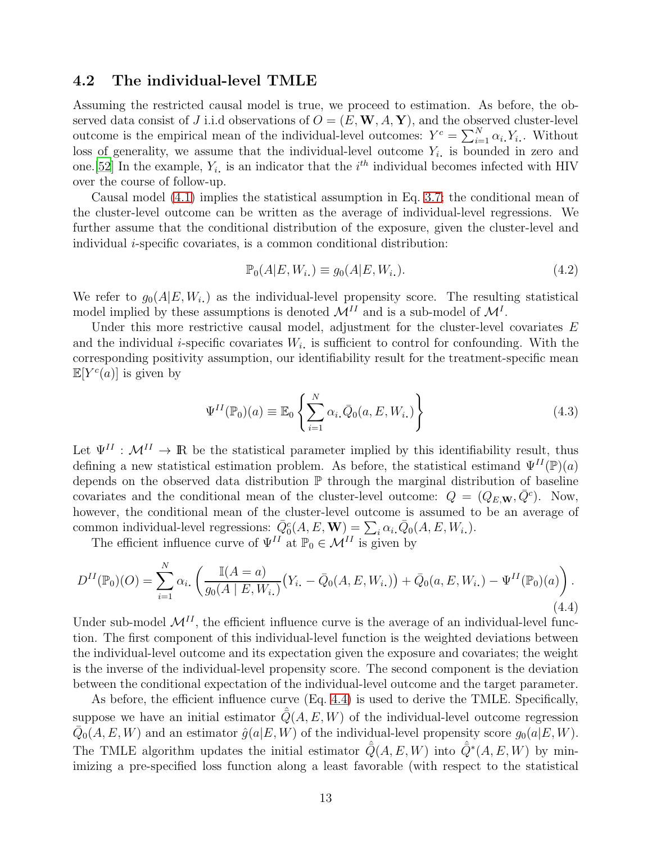#### 4.2 The individual-level TMLE

Assuming the restricted causal model is true, we proceed to estimation. As before, the observed data consist of J i.i.d observations of  $O = (E, \mathbf{W}, A, \mathbf{Y})$ , and the observed cluster-level outcome is the empirical mean of the individual-level outcomes:  $Y^c = \sum_{i=1}^{N} \alpha_i Y_i$ . Without loss of generality, we assume that the individual-level outcome  $Y_i$ , is bounded in zero and one. [\[52](#page-35-5)] In the example,  $Y_i$ , is an indicator that the  $i^{th}$  individual becomes infected with HIV over the course of follow-up.

Causal model [\(4.1\)](#page-11-1) implies the statistical assumption in Eq. [3.7;](#page-9-0) the conditional mean of the cluster-level outcome can be written as the average of individual-level regressions. We further assume that the conditional distribution of the exposure, given the cluster-level and individual i-specific covariates, is a common conditional distribution:

$$
\mathbb{P}_0(A|E, W_i.) \equiv g_0(A|E, W_i.). \tag{4.2}
$$

We refer to  $g_0(A|E, W_i)$  as the individual-level propensity score. The resulting statistical model implied by these assumptions is denoted  $\mathcal{M}^{II}$  and is a sub-model of  $\mathcal{M}^{I}$ .

Under this more restrictive causal model, adjustment for the cluster-level covariates  $E$ and the individual *i*-specific covariates  $W_i$ , is sufficient to control for confounding. With the corresponding positivity assumption, our identifiability result for the treatment-specific mean  $\mathbb{E}[Y^c(a)]$  is given by

$$
\Psi^{II}(\mathbb{P}_0)(a) \equiv \mathbb{E}_0 \left\{ \sum_{i=1}^N \alpha_i \cdot \bar{Q}_0(a, E, W_{i.}) \right\} \tag{4.3}
$$

Let  $\Psi^{II}$ :  $\mathcal{M}^{II} \to \mathbb{R}$  be the statistical parameter implied by this identifiability result, thus defining a new statistical estimation problem. As before, the statistical estimand  $\Psi^{II}(\mathbb{P})(a)$ depends on the observed data distribution P through the marginal distribution of baseline covariates and the conditional mean of the cluster-level outcome:  $Q = (Q_{E,\mathbf{W}}, \bar{Q}^c)$ . Now, however, the conditional mean of the cluster-level outcome is assumed to be an average of common individual-level regressions:  $\overline{Q}_0^c(A, E, \mathbf{W}) = \sum_i \alpha_i \overline{Q}_0(A, E, W_i)$ .

The efficient influence curve of  $\Psi^{II}$  at  $\mathbb{P}_0 \in \mathcal{M}^{II}$  is given by

<span id="page-12-0"></span>
$$
D^{II}(\mathbb{P}_0)(O) = \sum_{i=1}^N \alpha_i \cdot \left( \frac{\mathbb{I}(A = a)}{g_0(A \mid E, W_i)} (Y_i. - \bar{Q}_0(A, E, W_i.)) + \bar{Q}_0(a, E, W_i.) - \Psi^{II}(\mathbb{P}_0)(a) \right).
$$
\n(4.4)

Under sub-model  $\mathcal{M}^{II}$ , the efficient influence curve is the average of an individual-level function. The first component of this individual-level function is the weighted deviations between the individual-level outcome and its expectation given the exposure and covariates; the weight is the inverse of the individual-level propensity score. The second component is the deviation between the conditional expectation of the individual-level outcome and the target parameter.

As before, the efficient influence curve (Eq. [4.4\)](#page-12-0) is used to derive the TMLE. Specifically, suppose we have an initial estimator  $\hat{Q}(A, E, W)$  of the individual-level outcome regression  $\overline{Q}_0(A, E, W)$  and an estimator  $\hat{g}(a|E, W)$  of the individual-level propensity score  $g_0(a|E, W)$ . The TMLE algorithm updates the initial estimator  $\hat{Q}(A, E, W)$  into  $\hat{Q}^*(A, E, W)$  by minimizing a pre-specified loss function along a least favorable (with respect to the statistical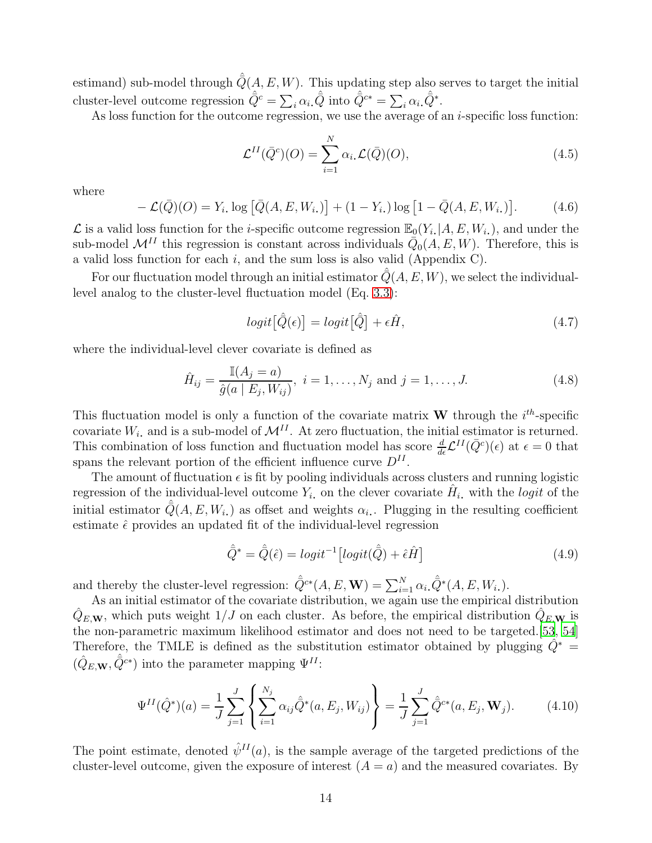estimand) sub-model through  $\hat{Q}(A, E, W)$ . This updating step also serves to target the initial cluster-level outcome regression  $\hat{Q}^c = \sum_i \alpha_i \hat{Q}$  into  $\hat{Q}^{c*} = \sum_i \alpha_i \hat{Q}^*$ .

As loss function for the outcome regression, we use the average of an  $i$ -specific loss function:

$$
\mathcal{L}^{II}(\bar{Q}^c)(O) = \sum_{i=1}^{N} \alpha_i \mathcal{L}(\bar{Q})(O), \qquad (4.5)
$$

where

$$
- \mathcal{L}(\bar{Q})(O) = Y_i \log \left[ \bar{Q}(A, E, W_i) \right] + (1 - Y_i) \log \left[ 1 - \bar{Q}(A, E, W_i) \right]. \tag{4.6}
$$

 $\mathcal L$  is a valid loss function for the *i*-specific outcome regression  $\mathbb{E}_{\mathcal{Q}}(Y_i, |A, E, W_i)$ , and under the sub-model  $\mathcal{M}^{II}$  this regression is constant across individuals  $\bar{Q}_0(A, E, W)$ . Therefore, this is a valid loss function for each  $i$ , and the sum loss is also valid (Appendix C).

For our fluctuation model through an initial estimator  $\hat{Q}(A, E, W)$ , we select the individuallevel analog to the cluster-level fluctuation model (Eq. [3.3\)](#page-7-1):

$$
logit[\hat{\bar{Q}}(\epsilon)] = logit[\hat{\bar{Q}}] + \epsilon \hat{H}, \qquad (4.7)
$$

where the individual-level clever covariate is defined as

$$
\hat{H}_{ij} = \frac{\mathbb{I}(A_j = a)}{\hat{g}(a \mid E_j, W_{ij})}, \ i = 1, \dots, N_j \text{ and } j = 1, \dots, J. \tag{4.8}
$$

This fluctuation model is only a function of the covariate matrix **W** through the  $i^{th}$ -specific covariate  $W_i$ , and is a sub-model of  $\mathcal{M}^{II}$ . At zero fluctuation, the initial estimator is returned. This combination of loss function and fluctuation model has score  $\frac{d}{d\epsilon}\mathcal{L}^{II}(\bar{Q}^c)(\epsilon)$  at  $\epsilon = 0$  that spans the relevant portion of the efficient influence curve  $D^{II}$ .

The amount of fluctuation  $\epsilon$  is fit by pooling individuals across clusters and running logistic regression of the individual-level outcome  $Y_i$ , on the clever covariate  $\hat{H}_i$ , with the *logit* of the initial estimator  $\hat{Q}(A, E, W_i)$  as offset and weights  $\alpha_i$ . Plugging in the resulting coefficient estimate  $\hat{\epsilon}$  provides an updated fit of the individual-level regression

$$
\hat{\bar{Q}}^* = \hat{\bar{Q}}(\hat{\epsilon}) = logit^{-1} [logit(\hat{\bar{Q}}) + \hat{\epsilon}\hat{H}]
$$
\n(4.9)

and thereby the cluster-level regression:  $\hat{Q}^{c*}(A, E, \mathbf{W}) = \sum_{i=1}^{N} \alpha_i \cdot \hat{Q}^*(A, E, W_i)$ .

As an initial estimator of the covariate distribution, we again use the empirical distribution  $\hat{Q}_{E, \mathbf{W}}$ , which puts weight  $1/J$  on each cluster. As before, the empirical distribution  $\hat{Q}_{E, \mathbf{W}}$  is the non-parametric maximum likelihood estimator and does not need to be targeted.[\[53](#page-35-6), [54](#page-35-7)] Therefore, the TMLE is defined as the substitution estimator obtained by plugging  $\hat{Q}^*$  =  $(\hat{Q}_{E,\mathbf{W}}, \hat{\bar{Q}}^{c*})$  into the parameter mapping  $\Psi^{II}$ :

$$
\Psi^{II}(\hat{Q}^*)(a) = \frac{1}{J} \sum_{j=1}^J \left\{ \sum_{i=1}^{N_j} \alpha_{ij} \hat{Q}^*(a, E_j, W_{ij}) \right\} = \frac{1}{J} \sum_{j=1}^J \hat{Q}^{c*}(a, E_j, \mathbf{W}_j).
$$
(4.10)

The point estimate, denoted  $\hat{\psi}^{II}(a)$ , is the sample average of the targeted predictions of the cluster-level outcome, given the exposure of interest  $(A = a)$  and the measured covariates. By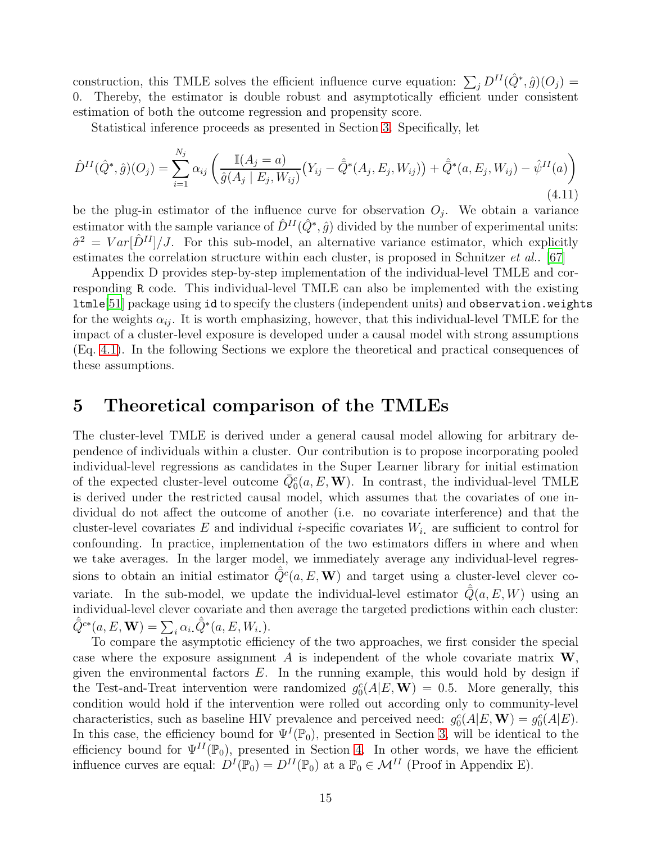construction, this TMLE solves the efficient influence curve equation:  $\sum_j D^{II} (\hat{Q}^*, \hat{g}) (O_j) =$ 0. Thereby, the estimator is double robust and asymptotically efficient under consistent estimation of both the outcome regression and propensity score.

Statistical inference proceeds as presented in Section [3.](#page-6-1) Specifically, let

$$
\hat{D}^{II}(\hat{Q}^*, \hat{g})(O_j) = \sum_{i=1}^{N_j} \alpha_{ij} \left( \frac{\mathbb{I}(A_j = a)}{\hat{g}(A_j \mid E_j, W_{ij})} (Y_{ij} - \hat{Q}^*(A_j, E_j, W_{ij})) + \hat{Q}^*(a, E_j, W_{ij}) - \hat{\psi}^{II}(a) \right)
$$
\n(4.11)

be the plug-in estimator of the influence curve for observation  $O_j$ . We obtain a variance estimator with the sample variance of  $\hat{D}^{II}(\hat{Q}^*, \hat{g})$  divided by the number of experimental units:  $\hat{\sigma}^2 = Var[\hat{D}^{II}]/J$ . For this sub-model, an alternative variance estimator, which explicitly estimates the correlation structure within each cluster, is proposed in Schnitzer *et al.*. [\[67](#page-36-11)]

Appendix D provides step-by-step implementation of the individual-level TMLE and corresponding R code. This individual-level TMLE can also be implemented with the existing ltmle[\[51](#page-35-4)] package using id to specify the clusters (independent units) and observation.weights for the weights  $\alpha_{ij}$ . It is worth emphasizing, however, that this individual-level TMLE for the impact of a cluster-level exposure is developed under a causal model with strong assumptions (Eq. [4.1\)](#page-11-1). In the following Sections we explore the theoretical and practical consequences of these assumptions.

### 5 Theoretical comparison of the TMLEs

The cluster-level TMLE is derived under a general causal model allowing for arbitrary dependence of individuals within a cluster. Our contribution is to propose incorporating pooled individual-level regressions as candidates in the Super Learner library for initial estimation of the expected cluster-level outcome  $\bar{Q}_0^c(a, E, \mathbf{W})$ . In contrast, the individual-level TMLE is derived under the restricted causal model, which assumes that the covariates of one individual do not affect the outcome of another (i.e. no covariate interference) and that the cluster-level covariates E and individual *i*-specific covariates  $W_i$ , are sufficient to control for confounding. In practice, implementation of the two estimators differs in where and when we take averages. In the larger model, we immediately average any individual-level regressions to obtain an initial estimator  $\hat{Q}^c(a, E, \mathbf{W})$  and target using a cluster-level clever covariate. In the sub-model, we update the individual-level estimator  $\hat{Q}(a, E, W)$  using an individual-level clever covariate and then average the targeted predictions within each cluster:  $\hat{Q}^{c*}(a, E, \mathbf{W}) = \sum_i \alpha_i \cdot \hat{Q}^*(a, E, W_i).$ 

To compare the asymptotic efficiency of the two approaches, we first consider the special case where the exposure assignment A is independent of the whole covariate matrix  $W$ , given the environmental factors  $E$ . In the running example, this would hold by design if the Test-and-Treat intervention were randomized  $g_0^c(A|E, \mathbf{W}) = 0.5$ . More generally, this condition would hold if the intervention were rolled out according only to community-level characteristics, such as baseline HIV prevalence and perceived need:  $g_0^c(A|E, \mathbf{W}) = g_0^c(A|E)$ . In this case, the efficiency bound for  $\Psi^I(\mathbb{P}_0)$ , presented in Section [3,](#page-6-1) will be identical to the efficiency bound for  $\Psi^{II}(\mathbb{P}_0)$ , presented in Section [4.](#page-10-0) In other words, we have the efficient influence curves are equal:  $D^{I}(\mathbb{P}_{0}) = D^{II}(\mathbb{P}_{0})$  at a  $\mathbb{P}_{0} \in \mathcal{M}^{II}$  (Proof in Appendix E).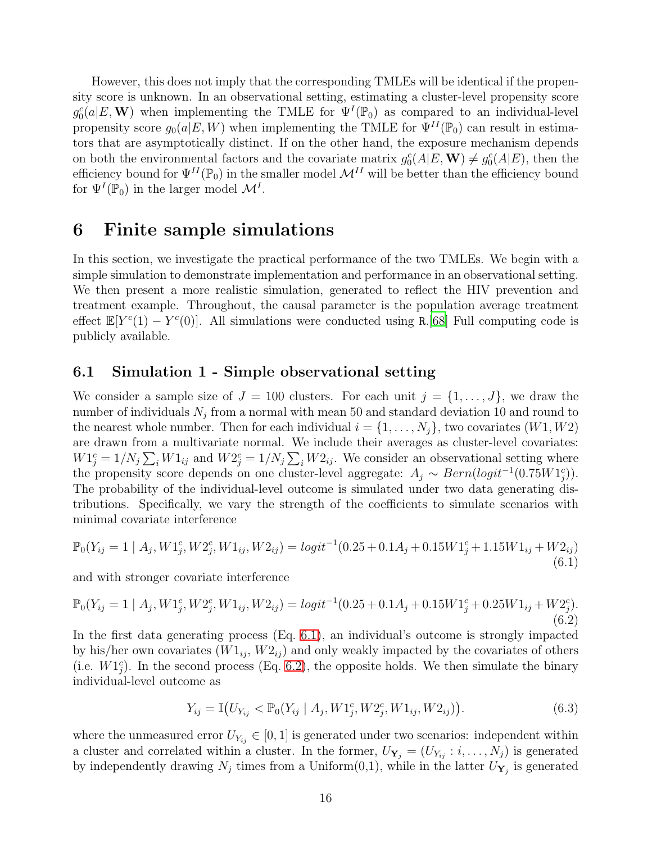However, this does not imply that the corresponding TMLEs will be identical if the propensity score is unknown. In an observational setting, estimating a cluster-level propensity score  $g_0^c(a|E, \mathbf{W})$  when implementing the TMLE for  $\Psi^I(\mathbb{P}_0)$  as compared to an individual-level propensity score  $g_0(a|E, W)$  when implementing the TMLE for  $\Psi^{II}(\mathbb{P}_0)$  can result in estimators that are asymptotically distinct. If on the other hand, the exposure mechanism depends on both the environmental factors and the covariate matrix  $g_0^c(A|E, \mathbf{W}) \neq g_0^c(A|E)$ , then the efficiency bound for  $\Psi^{II}(\mathbb{P}_0)$  in the smaller model  $\mathcal{M}^{II}$  will be better than the efficiency bound for  $\Psi^I(\mathbb{P}_0)$  in the larger model  $\mathcal{M}^I$ .

### 6 Finite sample simulations

In this section, we investigate the practical performance of the two TMLEs. We begin with a simple simulation to demonstrate implementation and performance in an observational setting. We then present a more realistic simulation, generated to reflect the HIV prevention and treatment example. Throughout, the causal parameter is the population average treatment effect  $\mathbb{E}[Y^c(1) - Y^c(0)]$ . All simulations were conducted using R.[\[68](#page-36-12)] Full computing code is publicly available.

### 6.1 Simulation 1 - Simple observational setting

We consider a sample size of  $J = 100$  clusters. For each unit  $j = \{1, \ldots, J\}$ , we draw the number of individuals  $N_j$  from a normal with mean 50 and standard deviation 10 and round to the nearest whole number. Then for each individual  $i = \{1, \ldots, N_i\}$ , two covariates  $(W1, W2)$ are drawn from a multivariate normal. We include their averages as cluster-level covariates:  $W1_j^c = 1/N_j \sum_i W1_{ij}$  and  $W2_j^c = 1/N_j \sum_i W2_{ij}$ . We consider an observational setting where the propensity score depends on one cluster-level aggregate:  $A_j \sim Bern(logit^{-1}(0.75W1_j^c))$ . The probability of the individual-level outcome is simulated under two data generating distributions. Specifically, we vary the strength of the coefficients to simulate scenarios with minimal covariate interference

<span id="page-15-0"></span>
$$
\mathbb{P}_0(Y_{ij} = 1 \mid A_j, W1_j^c, W2_j^c, W1_{ij}, W2_{ij}) = logit^{-1}(0.25 + 0.1A_j + 0.15W1_j^c + 1.15W1_{ij} + W2_{ij})
$$
\n
$$
(6.1)
$$

and with stronger covariate interference

<span id="page-15-1"></span>
$$
\mathbb{P}_0(Y_{ij} = 1 \mid A_j, W1_j^c, W2_j^c, W1_{ij}, W2_{ij}) = logit^{-1}(0.25 + 0.1A_j + 0.15W1_j^c + 0.25W1_{ij} + W2_j^c).
$$
\n(6.2)

In the first data generating process (Eq. [6.1\)](#page-15-0), an individual's outcome is strongly impacted by his/her own covariates  $(W1_{ij}, W2_{ij})$  and only weakly impacted by the covariates of others (i.e.  $W1_j^c$ ). In the second process (Eq. [6.2\)](#page-15-1), the opposite holds. We then simulate the binary individual-level outcome as

$$
Y_{ij} = \mathbb{I}(U_{Y_{ij}} < \mathbb{P}_0(Y_{ij} \mid A_j, W1_j^c, W2_j^c, W1_{ij}, W2_{ij})).
$$
\n(6.3)

where the unmeasured error  $U_{Y_{ij}} \in [0,1]$  is generated under two scenarios: independent within a cluster and correlated within a cluster. In the former,  $U_{\mathbf{Y}_j} = (U_{Y_{ij}} : i, \ldots, N_j)$  is generated by independently drawing  $N_j$  times from a Uniform $(0,1)$ , while in the latter  $U_{\mathbf{Y}_j}$  is generated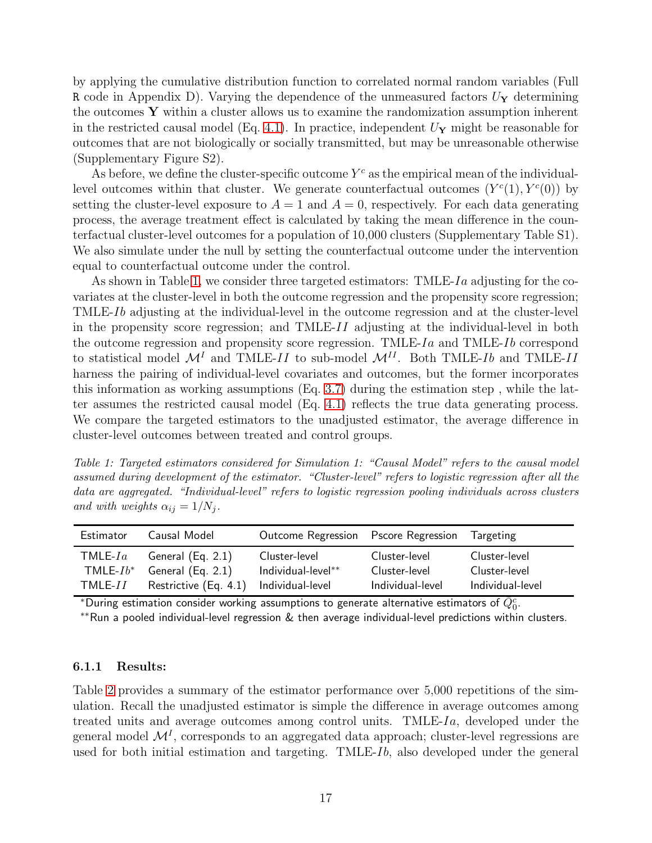by applying the cumulative distribution function to correlated normal random variables (Full R code in Appendix D). Varying the dependence of the unmeasured factors  $U_Y$  determining the outcomes  $Y$  within a cluster allows us to examine the randomization assumption inherent in the restricted causal model (Eq. [4.1\)](#page-11-1). In practice, independent  $U_Y$  might be reasonable for outcomes that are not biologically or socially transmitted, but may be unreasonable otherwise (Supplementary Figure S2).

As before, we define the cluster-specific outcome  $Y<sup>c</sup>$  as the empirical mean of the individuallevel outcomes within that cluster. We generate counterfactual outcomes  $(Y<sup>c</sup>(1), Y<sup>c</sup>(0))$  by setting the cluster-level exposure to  $A = 1$  and  $A = 0$ , respectively. For each data generating process, the average treatment effect is calculated by taking the mean difference in the counterfactual cluster-level outcomes for a population of 10,000 clusters (Supplementary Table S1). We also simulate under the null by setting the counterfactual outcome under the intervention equal to counterfactual outcome under the control.

As shown in Table [1,](#page-16-0) we consider three targeted estimators: TMLE-Ia adjusting for the covariates at the cluster-level in both the outcome regression and the propensity score regression; TMLE-Ib adjusting at the individual-level in the outcome regression and at the cluster-level in the propensity score regression; and TMLE- $II$  adjusting at the individual-level in both the outcome regression and propensity score regression. TMLE-Ia and TMLE-Ib correspond to statistical model  $\mathcal{M}^I$  and TMLE-II to sub-model  $\mathcal{M}^{II}$ . Both TMLE-Ib and TMLE-II harness the pairing of individual-level covariates and outcomes, but the former incorporates this information as working assumptions (Eq. [3.7\)](#page-9-0) during the estimation step , while the latter assumes the restricted causal model (Eq. [4.1\)](#page-11-1) reflects the true data generating process. We compare the targeted estimators to the unadjusted estimator, the average difference in cluster-level outcomes between treated and control groups.

<span id="page-16-0"></span>Table 1: Targeted estimators considered for Simulation 1: "Causal Model" refers to the causal model assumed during development of the estimator. "Cluster-level" refers to logistic regression after all the data are aggregated. "Individual-level" refers to logistic regression pooling individuals across clusters and with weights  $\alpha_{ij} = 1/N_j$ .

| Estimator    | Causal Model          | Outcome Regression Pscore Regression |                  | Targeting        |
|--------------|-----------------------|--------------------------------------|------------------|------------------|
| TMLE- $Ia$   | General (Eq. 2.1)     | Cluster-level                        | Cluster-level    | Cluster-level    |
| TMLE- $Ib^*$ | General (Eq. 2.1)     | Individual-level**                   | Cluster-level    | Cluster-level    |
| $TMLE-II$    | Restrictive (Eq. 4.1) | Individual-level                     | Individual-level | Individual-level |

 $^*$ During estimation consider working assumptions to generate alternative estimators of  $\bar Q_0^c$ .

∗∗Run a pooled individual-level regression & then average individual-level predictions within clusters.

#### 6.1.1 Results:

Table [2](#page-17-0) provides a summary of the estimator performance over 5,000 repetitions of the simulation. Recall the unadjusted estimator is simple the difference in average outcomes among treated units and average outcomes among control units. TMLE-Ia, developed under the general model  $\mathcal{M}^{I}$ , corresponds to an aggregated data approach; cluster-level regressions are used for both initial estimation and targeting. TMLE-Ib, also developed under the general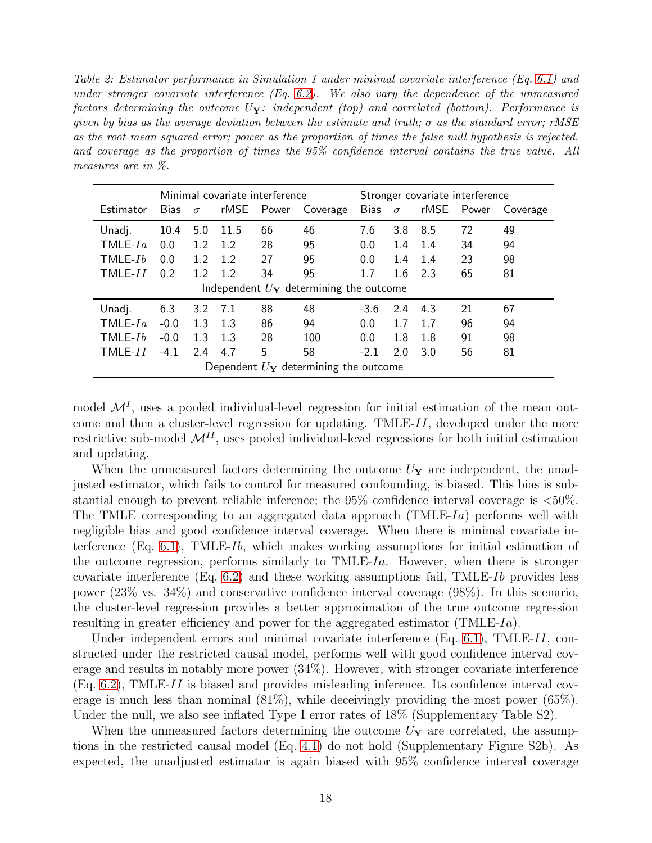<span id="page-17-0"></span>Table 2: Estimator performance in Simulation 1 under minimal covariate interference (Eq. [6.1\)](#page-15-0) and under stronger covariate interference  $(Eq. 6.2)$  $(Eq. 6.2)$ . We also vary the dependence of the unmeasured factors determining the outcome  $U_Y$ : independent (top) and correlated (bottom). Performance is given by bias as the average deviation between the estimate and truth;  $\sigma$  as the standard error; rMSE as the root-mean squared error; power as the proportion of times the false null hypothesis is rejected, and coverage as the proportion of times the 95% confidence interval contains the true value. All measures are in %.

|                                           | Minimal covariate interference          |          |      |       |          | Stronger covariate interference |          |      |       |          |
|-------------------------------------------|-----------------------------------------|----------|------|-------|----------|---------------------------------|----------|------|-------|----------|
| Estimator                                 | <b>Bias</b>                             | $\sigma$ | rMSE | Power | Coverage | <b>Bias</b>                     | $\sigma$ | rMSE | Power | Coverage |
| Unadj.                                    | 10.4                                    | 5.0      | 11.5 | 66    | 46       | 7.6                             | 3.8      | 8.5  | 72    | 49       |
| TMLE- $Ia$                                | 0.0                                     | 1.2      | 1.2  | 28    | 95       | 0.0                             | 1.4      | 1.4  | 34    | 94       |
| TMLE- $Ib$                                | 0.0                                     | 1.2      | 1.2  | 27    | 95       | 0.0                             | 1.4      | 1.4  | 23    | 98       |
| TMLE- <i>II</i>                           | 0.2                                     | 1.2      | 1.2  | 34    | 95       | 1.7                             | 1.6      | 2.3  | 65    | 81       |
| Independent $U_Y$ determining the outcome |                                         |          |      |       |          |                                 |          |      |       |          |
| Unadj.                                    | 6.3                                     | 3.2      | 7.1  | 88    | 48       | $-3.6$                          | 2.4      | 4.3  | 21    | 67       |
| TMLE- $Ia$                                | $-0.0$                                  | 1.3      | 1.3  | 86    | 94       | 0.0                             | 1.7      | 1.7  | 96    | 94       |
| TMLE- $Ib$                                | $-0.0$                                  | 1.3      | 1.3  | 28    | 100      | 0.0                             | 1.8      | 1.8  | 91    | 98       |
| TMI E- $II$                               | $-4.1$                                  | 2.4      | 4.7  | 5     | 58       | $-2.1$                          | 2.0      | 3.0  | 56    | 81       |
|                                           | Dependent $U_Y$ determining the outcome |          |      |       |          |                                 |          |      |       |          |

model  $\mathcal{M}^I$ , uses a pooled individual-level regression for initial estimation of the mean outcome and then a cluster-level regression for updating. TMLE-II, developed under the more restrictive sub-model  $\mathcal{M}^{II}$ , uses pooled individual-level regressions for both initial estimation and updating.

When the unmeasured factors determining the outcome  $U_Y$  are independent, the unadjusted estimator, which fails to control for measured confounding, is biased. This bias is substantial enough to prevent reliable inference; the 95% confidence interval coverage is <50%. The TMLE corresponding to an aggregated data approach (TMLE-Ia) performs well with negligible bias and good confidence interval coverage. When there is minimal covariate interference  $(Eq. 6.1)$  $(Eq. 6.1)$ , TMLE-Ib, which makes working assumptions for initial estimation of the outcome regression, performs similarly to TMLE-Ia. However, when there is stronger covariate interference (Eq. [6.2\)](#page-15-1) and these working assumptions fail, TMLE-Ib provides less power (23% vs. 34%) and conservative confidence interval coverage (98%). In this scenario, the cluster-level regression provides a better approximation of the true outcome regression resulting in greater efficiency and power for the aggregated estimator  $(TMLE-Ia)$ .

Under independent errors and minimal covariate interference  $(Eq. 6.1)$  $(Eq. 6.1)$ , TMLE-II, constructed under the restricted causal model, performs well with good confidence interval coverage and results in notably more power (34%). However, with stronger covariate interference  $(Eq. 6.2)$  $(Eq. 6.2)$ , TMLE-II is biased and provides misleading inference. Its confidence interval coverage is much less than nominal  $(81\%)$ , while deceivingly providing the most power  $(65\%)$ . Under the null, we also see inflated Type I error rates of 18% (Supplementary Table S2).

When the unmeasured factors determining the outcome  $U_Y$  are correlated, the assumptions in the restricted causal model (Eq. [4.1\)](#page-11-1) do not hold (Supplementary Figure S2b). As expected, the unadjusted estimator is again biased with 95% confidence interval coverage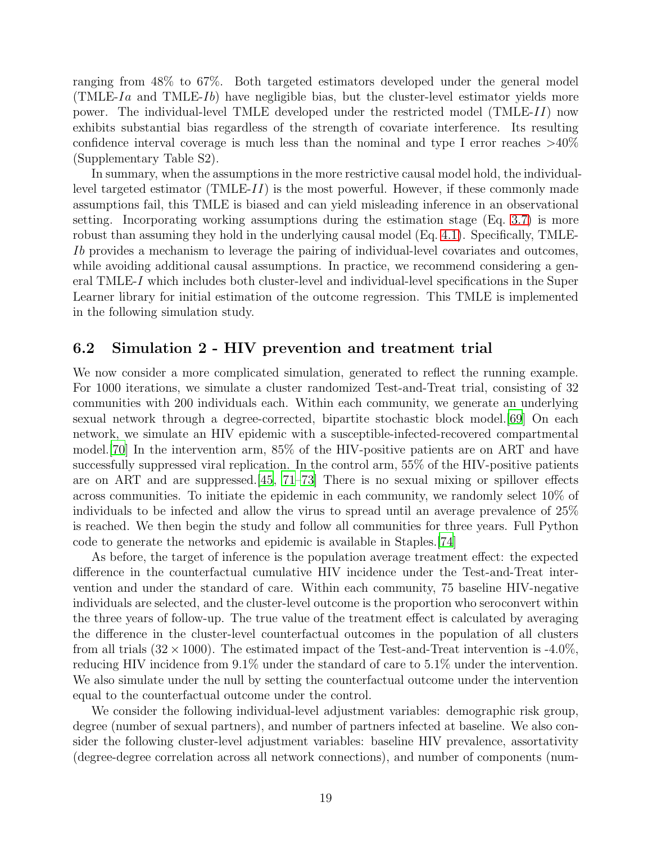ranging from 48% to 67%. Both targeted estimators developed under the general model  $(TMLE-Ia$  and TMLE-Ib) have negligible bias, but the cluster-level estimator yields more power. The individual-level TMLE developed under the restricted model (TMLE-II) now exhibits substantial bias regardless of the strength of covariate interference. Its resulting confidence interval coverage is much less than the nominal and type I error reaches  $>40\%$ (Supplementary Table S2).

In summary, when the assumptions in the more restrictive causal model hold, the individuallevel targeted estimator  $(TMLE-II)$  is the most powerful. However, if these commonly made assumptions fail, this TMLE is biased and can yield misleading inference in an observational setting. Incorporating working assumptions during the estimation stage (Eq. [3.7\)](#page-9-0) is more robust than assuming they hold in the underlying causal model (Eq. [4.1\)](#page-11-1). Specifically, TMLE-Ib provides a mechanism to leverage the pairing of individual-level covariates and outcomes, while avoiding additional causal assumptions. In practice, we recommend considering a general TMLE-I which includes both cluster-level and individual-level specifications in the Super Learner library for initial estimation of the outcome regression. This TMLE is implemented in the following simulation study.

### 6.2 Simulation 2 - HIV prevention and treatment trial

We now consider a more complicated simulation, generated to reflect the running example. For 1000 iterations, we simulate a cluster randomized Test-and-Treat trial, consisting of 32 communities with 200 individuals each. Within each community, we generate an underlying sexual network through a degree-corrected, bipartite stochastic block model.[\[69\]](#page-36-13) On each network, we simulate an HIV epidemic with a susceptible-infected-recovered compartmental model.[\[70](#page-36-14)] In the intervention arm, 85% of the HIV-positive patients are on ART and have successfully suppressed viral replication. In the control arm, 55% of the HIV-positive patients are on ART and are suppressed.[\[45](#page-35-9), [71](#page-37-0)[–73\]](#page-37-1) There is no sexual mixing or spillover effects across communities. To initiate the epidemic in each community, we randomly select 10% of individuals to be infected and allow the virus to spread until an average prevalence of 25% is reached. We then begin the study and follow all communities for three years. Full Python code to generate the networks and epidemic is available in Staples.[\[74\]](#page-37-2)

As before, the target of inference is the population average treatment effect: the expected difference in the counterfactual cumulative HIV incidence under the Test-and-Treat intervention and under the standard of care. Within each community, 75 baseline HIV-negative individuals are selected, and the cluster-level outcome is the proportion who seroconvert within the three years of follow-up. The true value of the treatment effect is calculated by averaging the difference in the cluster-level counterfactual outcomes in the population of all clusters from all trials  $(32 \times 1000)$ . The estimated impact of the Test-and-Treat intervention is -4.0%, reducing HIV incidence from 9.1% under the standard of care to 5.1% under the intervention. We also simulate under the null by setting the counterfactual outcome under the intervention equal to the counterfactual outcome under the control.

We consider the following individual-level adjustment variables: demographic risk group, degree (number of sexual partners), and number of partners infected at baseline. We also consider the following cluster-level adjustment variables: baseline HIV prevalence, assortativity (degree-degree correlation across all network connections), and number of components (num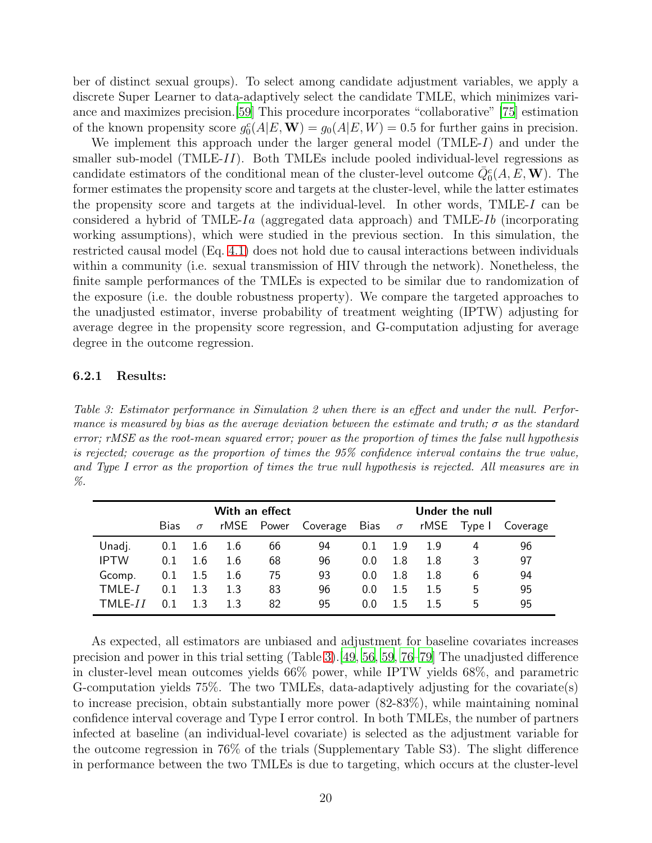ber of distinct sexual groups). To select among candidate adjustment variables, we apply a discrete Super Learner to data-adaptively select the candidate TMLE, which minimizes variance and maximizes precision.[\[59](#page-36-3)] This procedure incorporates "collaborative" [\[75\]](#page-37-3) estimation of the known propensity score  $g_0^c(A|E, \mathbf{W}) = g_0(A|E, W) = 0.5$  for further gains in precision.

We implement this approach under the larger general model (TMLE-I) and under the smaller sub-model (TMLE-II). Both TMLEs include pooled individual-level regressions as candidate estimators of the conditional mean of the cluster-level outcome  $\bar{Q}_0^c(A, E, \mathbf{W})$ . The former estimates the propensity score and targets at the cluster-level, while the latter estimates the propensity score and targets at the individual-level. In other words, TMLE-I can be considered a hybrid of TMLE-Ia (aggregated data approach) and TMLE-Ib (incorporating working assumptions), which were studied in the previous section. In this simulation, the restricted causal model (Eq. [4.1\)](#page-11-1) does not hold due to causal interactions between individuals within a community (i.e. sexual transmission of HIV through the network). Nonetheless, the finite sample performances of the TMLEs is expected to be similar due to randomization of the exposure (i.e. the double robustness property). We compare the targeted approaches to the unadjusted estimator, inverse probability of treatment weighting (IPTW) adjusting for average degree in the propensity score regression, and G-computation adjusting for average degree in the outcome regression.

#### <span id="page-19-0"></span>6.2.1 Results:

Table 3: Estimator performance in Simulation 2 when there is an effect and under the null. Performance is measured by bias as the average deviation between the estimate and truth;  $\sigma$  as the standard error; rMSE as the root-mean squared error; power as the proportion of times the false null hypothesis is rejected; coverage as the proportion of times the 95% confidence interval contains the true value, and Type I error as the proportion of times the true null hypothesis is rejected. All measures are in  $\%$ .

|             |      |          | With an effect |            |          | Under the null |          |         |        |          |
|-------------|------|----------|----------------|------------|----------|----------------|----------|---------|--------|----------|
|             | Bias | $\sigma$ |                | rMSE Power | Coverage | Bias           | $\sigma$ | rMSE    | Type I | Coverage |
| Unadj.      | 0.1  | 1.6      | 1.6            | 66         | 94       | 0.1            | 1.9      | 1.9     | 4      | 96       |
| <b>IPTW</b> | 0.1  | 1.6      | 1.6            | 68         | 96       | 0.0            | 1.8      | 1.8     | 3      | 97       |
| Gcomp.      | 0.1  | 1.5      | 1.6            | 75         | 93       | 0.0            | 1.8      | 1.8     | 6      | 94       |
| $TMLE-I$    | 0.1  | 1.3      | 1.3            | 83         | 96       | 0.0            | 1.5      | $1.5\,$ | 5      | 95       |
| TMI $E-II$  | 0.1  | 1.3      | 13             | 82         | 95       | 0.0            | 1.5      | 1.5     | 5      | 95       |

As expected, all estimators are unbiased and adjustment for baseline covariates increases precision and power in this trial setting (Table [3\)](#page-19-0).[\[49,](#page-35-2) [56](#page-36-0), [59](#page-36-3), [76](#page-37-4)[–79\]](#page-37-5) The unadjusted difference in cluster-level mean outcomes yields 66% power, while IPTW yields 68%, and parametric G-computation yields 75%. The two TMLEs, data-adaptively adjusting for the covariate(s) to increase precision, obtain substantially more power (82-83%), while maintaining nominal confidence interval coverage and Type I error control. In both TMLEs, the number of partners infected at baseline (an individual-level covariate) is selected as the adjustment variable for the outcome regression in 76% of the trials (Supplementary Table S3). The slight difference in performance between the two TMLEs is due to targeting, which occurs at the cluster-level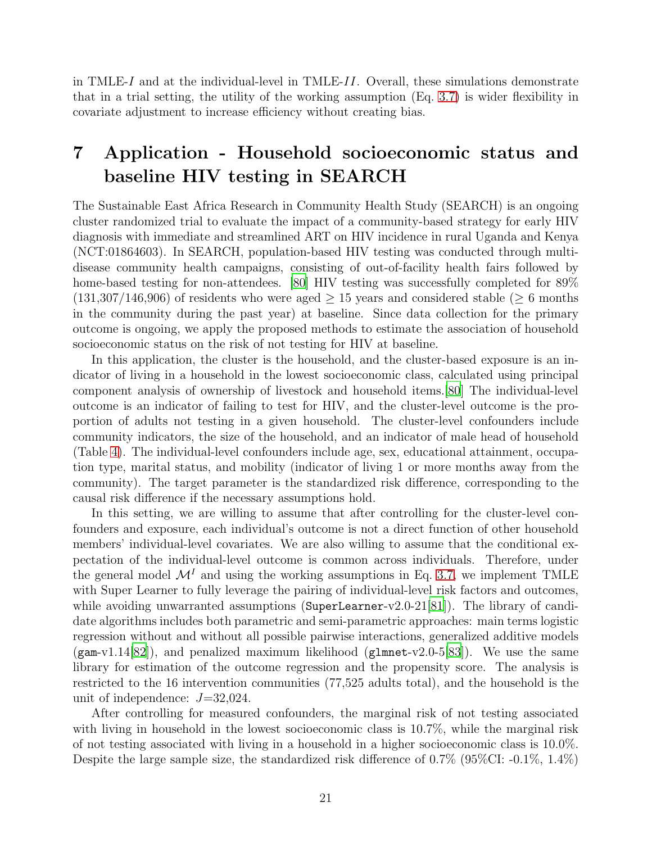in TMLE-I and at the individual-level in TMLE-II. Overall, these simulations demonstrate that in a trial setting, the utility of the working assumption (Eq. [3.7\)](#page-9-0) is wider flexibility in covariate adjustment to increase efficiency without creating bias.

# 7 Application - Household socioeconomic status and baseline HIV testing in SEARCH

The Sustainable East Africa Research in Community Health Study (SEARCH) is an ongoing cluster randomized trial to evaluate the impact of a community-based strategy for early HIV diagnosis with immediate and streamlined ART on HIV incidence in rural Uganda and Kenya (NCT:01864603). In SEARCH, population-based HIV testing was conducted through multidisease community health campaigns, consisting of out-of-facility health fairs followed by home-based testing for non-attendees. [\[80](#page-37-6)] HIV testing was successfully completed for 89%  $(131,307/146,906)$  of residents who were aged  $\geq 15$  years and considered stable ( $\geq 6$  months in the community during the past year) at baseline. Since data collection for the primary outcome is ongoing, we apply the proposed methods to estimate the association of household socioeconomic status on the risk of not testing for HIV at baseline.

In this application, the cluster is the household, and the cluster-based exposure is an indicator of living in a household in the lowest socioeconomic class, calculated using principal component analysis of ownership of livestock and household items.[\[80\]](#page-37-6) The individual-level outcome is an indicator of failing to test for HIV, and the cluster-level outcome is the proportion of adults not testing in a given household. The cluster-level confounders include community indicators, the size of the household, and an indicator of male head of household (Table [4\)](#page-21-0). The individual-level confounders include age, sex, educational attainment, occupation type, marital status, and mobility (indicator of living 1 or more months away from the community). The target parameter is the standardized risk difference, corresponding to the causal risk difference if the necessary assumptions hold.

In this setting, we are willing to assume that after controlling for the cluster-level confounders and exposure, each individual's outcome is not a direct function of other household members' individual-level covariates. We are also willing to assume that the conditional expectation of the individual-level outcome is common across individuals. Therefore, under the general model  $\mathcal{M}^I$  and using the working assumptions in Eq. [3.7,](#page-9-0) we implement TMLE with Super Learner to fully leverage the pairing of individual-level risk factors and outcomes, while avoiding unwarranted assumptions (SuperLearner-v2.0-21|81|). The library of candidate algorithms includes both parametric and semi-parametric approaches: main terms logistic regression without and without all possible pairwise interactions, generalized additive models  $(gam-v1.14[82])$  $(gam-v1.14[82])$  $(gam-v1.14[82])$ , and penalized maximum likelihood  $(glmnet-v2.0-5[83])$  $(glmnet-v2.0-5[83])$  $(glmnet-v2.0-5[83])$ . We use the same library for estimation of the outcome regression and the propensity score. The analysis is restricted to the 16 intervention communities (77,525 adults total), and the household is the unit of independence:  $J=32,024$ .

After controlling for measured confounders, the marginal risk of not testing associated with living in household in the lowest socioeconomic class is  $10.7\%$ , while the marginal risk of not testing associated with living in a household in a higher socioeconomic class is 10.0%. Despite the large sample size, the standardized risk difference of  $0.7\%$  (95%CI:  $-0.1\%$ , 1.4%)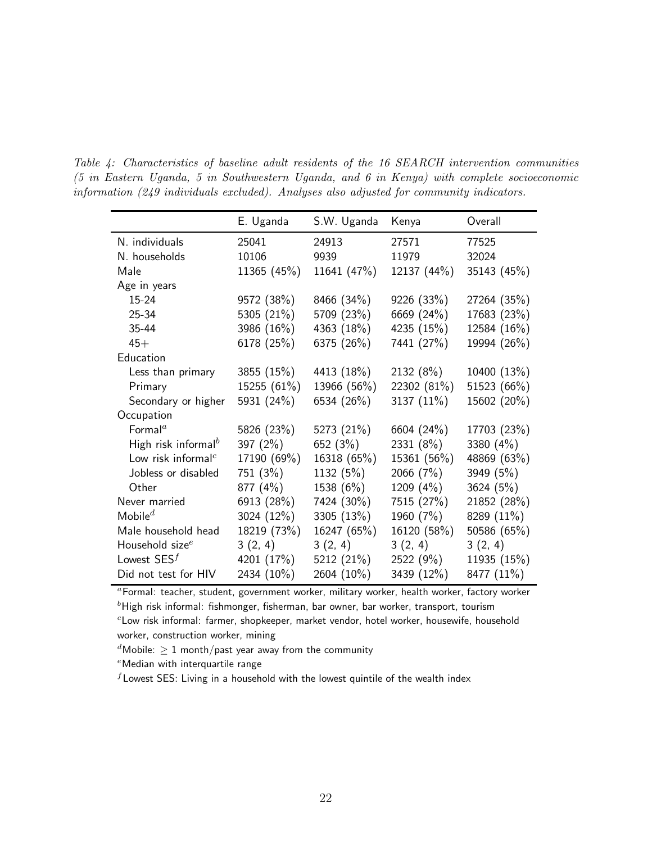<span id="page-21-0"></span>Table 4: Characteristics of baseline adult residents of the 16 SEARCH intervention communities (5 in Eastern Uganda, 5 in Southwestern Uganda, and 6 in Kenya) with complete socioeconomic information (249 individuals excluded). Analyses also adjusted for community indicators.

|                                             | E. Uganda   | S.W. Uganda | Kenya        | Overall     |
|---------------------------------------------|-------------|-------------|--------------|-------------|
| N. individuals                              | 25041       | 24913       | 27571        | 77525       |
| N. households                               | 10106       | 9939        | 11979        | 32024       |
| Male                                        | 11365 (45%) | 11641 (47%) | 12137(44%)   | 35143 (45%) |
| Age in years                                |             |             |              |             |
| $15 - 24$                                   | 9572 (38%)  | 8466 (34%)  | 9226 (33%)   | 27264 (35%) |
| $25 - 34$                                   | 5305 (21%)  | 5709 (23%)  | 6669 (24%)   | 17683 (23%) |
| $35 - 44$                                   | 3986 (16%)  | 4363 (18%)  | 4235 (15%)   | 12584 (16%) |
| $45+$                                       | 6178 (25%)  | 6375 (26%)  | 7441 (27%)   | 19994 (26%) |
| Education                                   |             |             |              |             |
| Less than primary                           | 3855 (15%)  | 4413 (18%)  | 2132(8%)     | 10400 (13%) |
| Primary                                     | 15255 (61%) | 13966 (56%) | 22302 (81%)  | 51523 (66%) |
| Secondary or higher                         | 5931 (24%)  | 6534 (26%)  | 3137 $(11%)$ | 15602 (20%) |
| Occupation                                  |             |             |              |             |
| Formal <sup><math>a</math></sup>            | 5826 (23%)  | 5273 (21%)  | 6604 (24%)   | 17703 (23%) |
| High risk informal <sup>b</sup>             | 397 (2%)    | 652 (3%)    | 2331 (8%)    | 3380 (4%)   |
| Low risk informal <sup><math>c</math></sup> | 17190 (69%) | 16318 (65%) | 15361 (56%)  | 48869 (63%) |
| Jobless or disabled                         | 751 (3%)    | 1132 (5%)   | 2066 (7%)    | 3949 (5%)   |
| Other                                       | 877 (4%)    | 1538 (6%)   | 1209 $(4%)$  | 3624(5%)    |
| Never married                               | 6913 (28%)  | 7424 (30%)  | 7515 (27%)   | 21852 (28%) |
| Mobile $^d$                                 | 3024 (12%)  | 3305(13%)   | 1960 (7%)    | 8289 (11%)  |
| Male household head                         | 18219 (73%) | 16247 (65%) | 16120 (58%)  | 50586 (65%) |
| Household size <sup>e</sup>                 | 3(2, 4)     | 3(2, 4)     | 3(2, 4)      | 3(2, 4)     |
| Lowest $SESf$                               | 4201 (17%)  | 5212 (21%)  | 2522 (9%)    | 11935 (15%) |
| Did not test for HIV                        | 2434 (10%)  | 2604 (10%)  | 3439 (12%)   | 8477 (11%)  |

<sup>a</sup>Formal: teacher, student, government worker, military worker, health worker, factory worker  $<sup>b</sup>$ High risk informal: fishmonger, fisherman, bar owner, bar worker, transport, tourism</sup>

 $c$ Low risk informal: farmer, shopkeeper, market vendor, hotel worker, housewife, household worker, construction worker, mining

 $d$ Mobile:  $\geq 1$  month/past year away from the community

 $e$ Median with interquartile range

 $f$  Lowest SES: Living in a household with the lowest quintile of the wealth index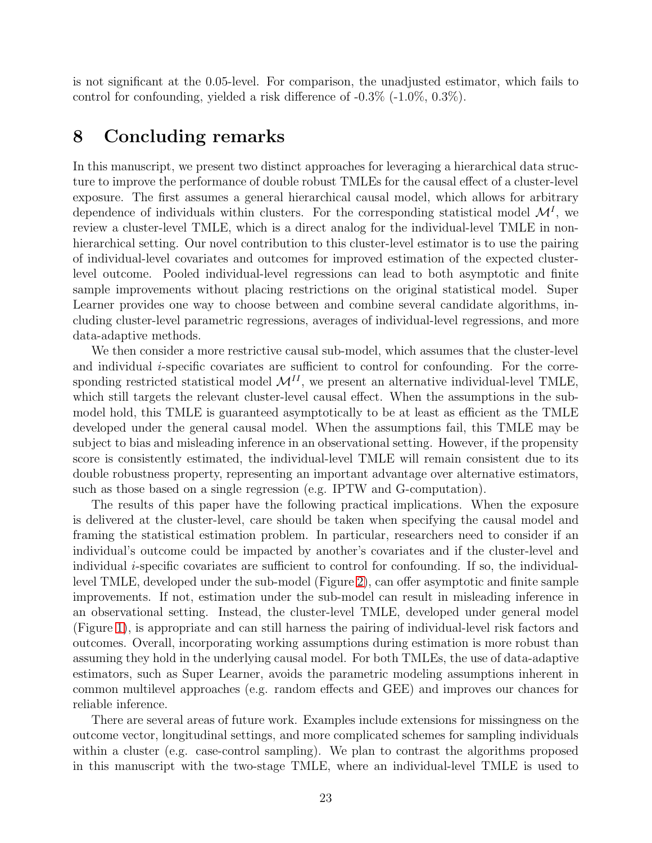is not significant at the 0.05-level. For comparison, the unadjusted estimator, which fails to control for confounding, yielded a risk difference of -0.3% (-1.0%, 0.3%).

## 8 Concluding remarks

In this manuscript, we present two distinct approaches for leveraging a hierarchical data structure to improve the performance of double robust TMLEs for the causal effect of a cluster-level exposure. The first assumes a general hierarchical causal model, which allows for arbitrary dependence of individuals within clusters. For the corresponding statistical model  $\mathcal{M}^{I}$ , we review a cluster-level TMLE, which is a direct analog for the individual-level TMLE in nonhierarchical setting. Our novel contribution to this cluster-level estimator is to use the pairing of individual-level covariates and outcomes for improved estimation of the expected clusterlevel outcome. Pooled individual-level regressions can lead to both asymptotic and finite sample improvements without placing restrictions on the original statistical model. Super Learner provides one way to choose between and combine several candidate algorithms, including cluster-level parametric regressions, averages of individual-level regressions, and more data-adaptive methods.

We then consider a more restrictive causal sub-model, which assumes that the cluster-level and individual *i*-specific covariates are sufficient to control for confounding. For the corresponding restricted statistical model  $\mathcal{M}^{II}$ , we present an alternative individual-level TMLE, which still targets the relevant cluster-level causal effect. When the assumptions in the submodel hold, this TMLE is guaranteed asymptotically to be at least as efficient as the TMLE developed under the general causal model. When the assumptions fail, this TMLE may be subject to bias and misleading inference in an observational setting. However, if the propensity score is consistently estimated, the individual-level TMLE will remain consistent due to its double robustness property, representing an important advantage over alternative estimators, such as those based on a single regression (e.g. IPTW and G-computation).

The results of this paper have the following practical implications. When the exposure is delivered at the cluster-level, care should be taken when specifying the causal model and framing the statistical estimation problem. In particular, researchers need to consider if an individual's outcome could be impacted by another's covariates and if the cluster-level and individual *i*-specific covariates are sufficient to control for confounding. If so, the individuallevel TMLE, developed under the sub-model (Figure [2\)](#page-11-0), can offer asymptotic and finite sample improvements. If not, estimation under the sub-model can result in misleading inference in an observational setting. Instead, the cluster-level TMLE, developed under general model (Figure [1\)](#page-4-0), is appropriate and can still harness the pairing of individual-level risk factors and outcomes. Overall, incorporating working assumptions during estimation is more robust than assuming they hold in the underlying causal model. For both TMLEs, the use of data-adaptive estimators, such as Super Learner, avoids the parametric modeling assumptions inherent in common multilevel approaches (e.g. random effects and GEE) and improves our chances for reliable inference.

There are several areas of future work. Examples include extensions for missingness on the outcome vector, longitudinal settings, and more complicated schemes for sampling individuals within a cluster (e.g. case-control sampling). We plan to contrast the algorithms proposed in this manuscript with the two-stage TMLE, where an individual-level TMLE is used to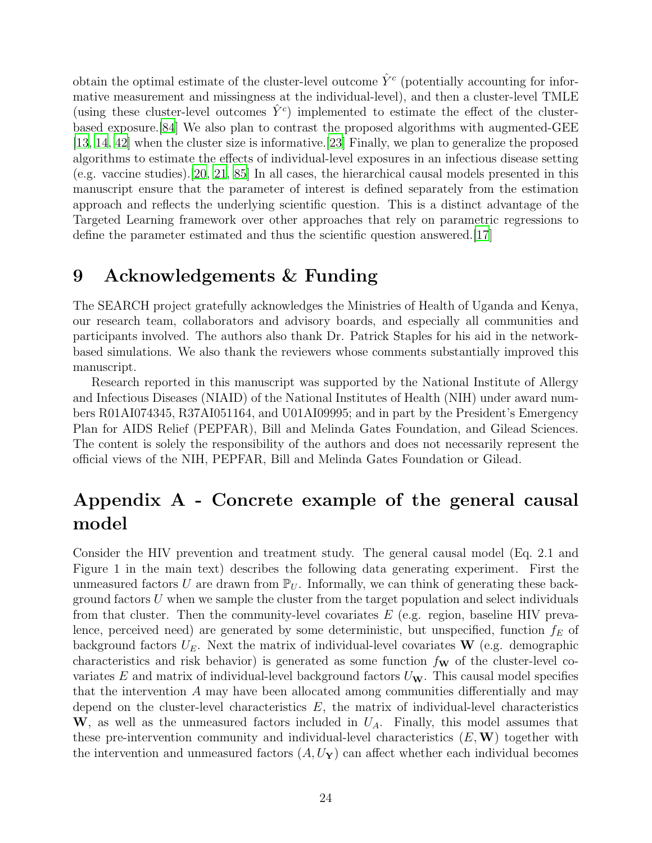obtain the optimal estimate of the cluster-level outcome  $\hat{Y}^c$  (potentially accounting for informative measurement and missingness at the individual-level), and then a cluster-level TMLE (using these cluster-level outcomes  $\hat{Y}^c$ ) implemented to estimate the effect of the clusterbased exposure.[\[84](#page-38-1)] We also plan to contrast the proposed algorithms with augmented-GEE [\[13](#page-32-11), [14,](#page-33-0) [42\]](#page-34-5) when the cluster size is informative.[\[23](#page-33-5)] Finally, we plan to generalize the proposed algorithms to estimate the effects of individual-level exposures in an infectious disease setting (e.g. vaccine studies).[\[20](#page-33-11), [21,](#page-33-12) [85\]](#page-38-2) In all cases, the hierarchical causal models presented in this manuscript ensure that the parameter of interest is defined separately from the estimation approach and reflects the underlying scientific question. This is a distinct advantage of the Targeted Learning framework over other approaches that rely on parametric regressions to define the parameter estimated and thus the scientific question answered.[\[17](#page-33-2)]

## 9 Acknowledgements & Funding

The SEARCH project gratefully acknowledges the Ministries of Health of Uganda and Kenya, our research team, collaborators and advisory boards, and especially all communities and participants involved. The authors also thank Dr. Patrick Staples for his aid in the networkbased simulations. We also thank the reviewers whose comments substantially improved this manuscript.

Research reported in this manuscript was supported by the National Institute of Allergy and Infectious Diseases (NIAID) of the National Institutes of Health (NIH) under award numbers R01AI074345, R37AI051164, and U01AI09995; and in part by the President's Emergency Plan for AIDS Relief (PEPFAR), Bill and Melinda Gates Foundation, and Gilead Sciences. The content is solely the responsibility of the authors and does not necessarily represent the official views of the NIH, PEPFAR, Bill and Melinda Gates Foundation or Gilead.

# Appendix A - Concrete example of the general causal model

Consider the HIV prevention and treatment study. The general causal model (Eq. 2.1 and Figure 1 in the main text) describes the following data generating experiment. First the unmeasured factors U are drawn from  $\mathbb{P}_U$ . Informally, we can think of generating these background factors  $U$  when we sample the cluster from the target population and select individuals from that cluster. Then the community-level covariates  $E$  (e.g. region, baseline HIV prevalence, perceived need) are generated by some deterministic, but unspecified, function  $f_E$  of background factors  $U_E$ . Next the matrix of individual-level covariates **W** (e.g. demographic characteristics and risk behavior) is generated as some function  $f_{\mathbf{W}}$  of the cluster-level covariates E and matrix of individual-level background factors  $U_{\mathbf{W}}$ . This causal model specifies that the intervention A may have been allocated among communities differentially and may depend on the cluster-level characteristics  $E$ , the matrix of individual-level characteristics  $\mathbf{W}$ , as well as the unmeasured factors included in  $U_A$ . Finally, this model assumes that these pre-intervention community and individual-level characteristics  $(E, \mathbf{W})$  together with the intervention and unmeasured factors  $(A, U_Y)$  can affect whether each individual becomes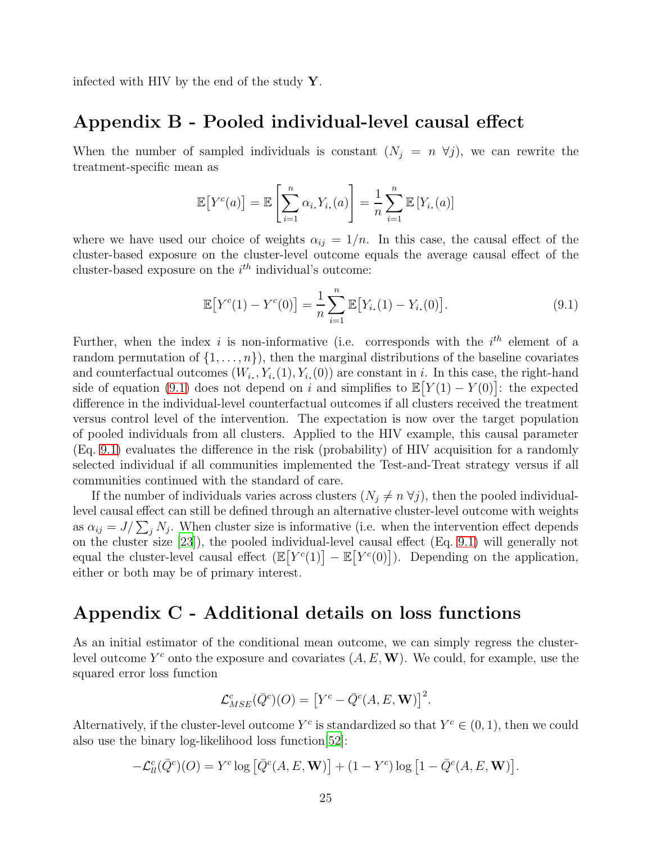infected with HIV by the end of the study  $\mathbf{Y}$ .

## Appendix B - Pooled individual-level causal effect

When the number of sampled individuals is constant  $(N_j = n \ \forall j)$ , we can rewrite the treatment-specific mean as

$$
\mathbb{E}\left[Y^{c}(a)\right] = \mathbb{E}\left[\sum_{i=1}^{n} \alpha_{i} Y_{i}(a)\right] = \frac{1}{n} \sum_{i=1}^{n} \mathbb{E}\left[Y_{i}(a)\right]
$$

where we have used our choice of weights  $\alpha_{ij} = 1/n$ . In this case, the causal effect of the cluster-based exposure on the cluster-level outcome equals the average causal effect of the cluster-based exposure on the  $i^{th}$  individual's outcome:

<span id="page-24-0"></span>
$$
\mathbb{E}\big[Y^{c}(1) - Y^{c}(0)\big] = \frac{1}{n} \sum_{i=1}^{n} \mathbb{E}\big[Y_{i.}(1) - Y_{i.}(0)\big].
$$
\n(9.1)

Further, when the index i is non-informative (i.e. corresponds with the  $i<sup>th</sup>$  element of a random permutation of  $\{1, \ldots, n\}$ , then the marginal distributions of the baseline covariates and counterfactual outcomes  $(W_i, Y_i, (1), Y_i, (0))$  are constant in i. In this case, the right-hand side of equation [\(9.1\)](#page-24-0) does not depend on i and simplifies to  $\mathbb{E}[Y(1) - Y(0)]$ : the expected difference in the individual-level counterfactual outcomes if all clusters received the treatment versus control level of the intervention. The expectation is now over the target population of pooled individuals from all clusters. Applied to the HIV example, this causal parameter (Eq. [9.1\)](#page-24-0) evaluates the difference in the risk (probability) of HIV acquisition for a randomly selected individual if all communities implemented the Test-and-Treat strategy versus if all communities continued with the standard of care.

If the number of individuals varies across clusters  $(N_j \neq n \ \forall j)$ , then the pooled individuallevel causal effect can still be defined through an alternative cluster-level outcome with weights as  $\alpha_{ij} = J/\sum_j N_j$ . When cluster size is informative (i.e. when the intervention effect depends on the cluster size [\[23](#page-33-5)]), the pooled individual-level causal effect (Eq. [9.1\)](#page-24-0) will generally not equal the cluster-level causal effect  $(\mathbb{E}[Y^c(1)] - \mathbb{E}[Y^c(0)]$ . Depending on the application, either or both may be of primary interest.

# Appendix C - Additional details on loss functions

As an initial estimator of the conditional mean outcome, we can simply regress the clusterlevel outcome  $Y^c$  onto the exposure and covariates  $(A, E, W)$ . We could, for example, use the squared error loss function

$$
\mathcal{L}_{MSE}^c(\bar{Q}^c)(O) = [Y^c - \bar{Q}^c(A, E, \mathbf{W})]^2.
$$

Alternatively, if the cluster-level outcome  $Y^c$  is standardized so that  $Y^c \in (0,1)$ , then we could also use the binary log-likelihood loss function[\[52](#page-35-5)]:

$$
-\mathcal{L}_{ll}^{c}(\bar{Q}^{c})(O) = Y^{c} \log \left[ \bar{Q}^{c}(A, E, \mathbf{W}) \right] + (1 - Y^{c}) \log \left[ 1 - \bar{Q}^{c}(A, E, \mathbf{W}) \right].
$$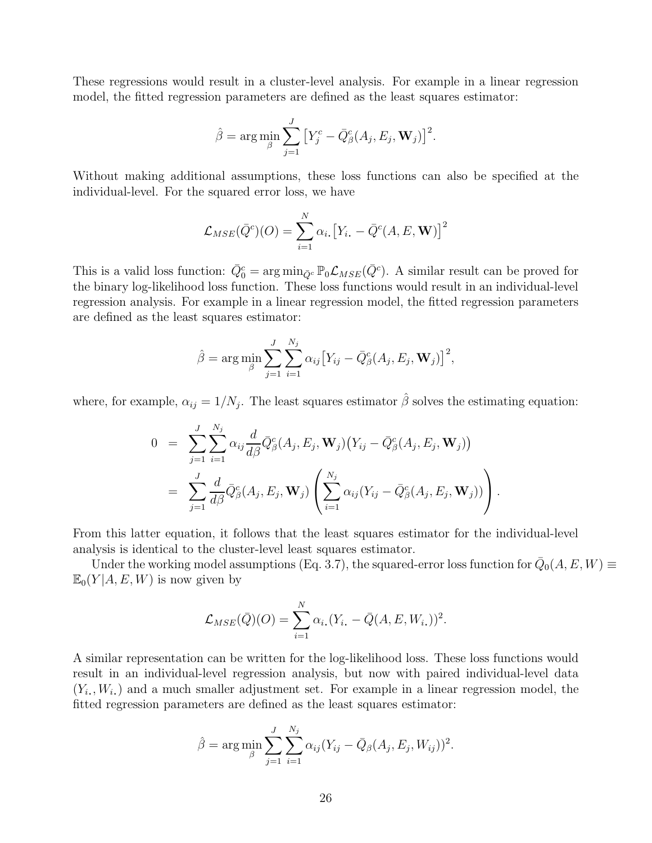These regressions would result in a cluster-level analysis. For example in a linear regression model, the fitted regression parameters are defined as the least squares estimator:

$$
\hat{\beta} = \arg \min_{\beta} \sum_{j=1}^{J} \left[ Y_j^c - \bar{Q}_{\beta}^c(A_j, E_j, \mathbf{W}_j) \right]^2.
$$

Without making additional assumptions, these loss functions can also be specified at the individual-level. For the squared error loss, we have

$$
\mathcal{L}_{MSE}(\bar{Q}^c)(O) = \sum_{i=1}^{N} \alpha_{i.} [Y_{i.} - \bar{Q}^c(A, E, \mathbf{W})]^2
$$

This is a valid loss function:  $\bar{Q}_0^c = \arg \min_{\bar{Q}^c} \mathbb{P}_0 \mathcal{L}_{MSE}(\bar{Q}^c)$ . A similar result can be proved for the binary log-likelihood loss function. These loss functions would result in an individual-level regression analysis. For example in a linear regression model, the fitted regression parameters are defined as the least squares estimator:

$$
\hat{\beta} = \arg \min_{\beta} \sum_{j=1}^{J} \sum_{i=1}^{N_j} \alpha_{ij} \left[ Y_{ij} - \bar{Q}_{\beta}^c(A_j, E_j, \mathbf{W}_j) \right]^2,
$$

where, for example,  $\alpha_{ij} = 1/N_j$ . The least squares estimator  $\hat{\beta}$  solves the estimating equation:

$$
0 = \sum_{j=1}^{J} \sum_{i=1}^{N_j} \alpha_{ij} \frac{d}{d\beta} \bar{Q}_{\beta}^c(A_j, E_j, \mathbf{W}_j) (Y_{ij} - \bar{Q}_{\beta}^c(A_j, E_j, \mathbf{W}_j))
$$
  
= 
$$
\sum_{j=1}^{J} \frac{d}{d\beta} \bar{Q}_{\beta}^c(A_j, E_j, \mathbf{W}_j) \left( \sum_{i=1}^{N_j} \alpha_{ij} (Y_{ij} - \bar{Q}_{\beta}^c(A_j, E_j, \mathbf{W}_j)) \right).
$$

From this latter equation, it follows that the least squares estimator for the individual-level analysis is identical to the cluster-level least squares estimator.

Under the working model assumptions (Eq. 3.7), the squared-error loss function for  $\bar{Q}_0(A, E, W) \equiv$  $\mathbb{E}_0(Y|A, E, W)$  is now given by

$$
\mathcal{L}_{MSE}(\bar{Q})(O) = \sum_{i=1}^{N} \alpha_i (Y_{i.} - \bar{Q}(A, E, W_{i.}))^2.
$$

A similar representation can be written for the log-likelihood loss. These loss functions would result in an individual-level regression analysis, but now with paired individual-level data  $(Y_i, W_i)$  and a much smaller adjustment set. For example in a linear regression model, the fitted regression parameters are defined as the least squares estimator:

$$
\hat{\beta} = \arg \min_{\beta} \sum_{j=1}^{J} \sum_{i=1}^{N_j} \alpha_{ij} (Y_{ij} - \bar{Q}_{\beta}(A_j, E_j, W_{ij}))^2.
$$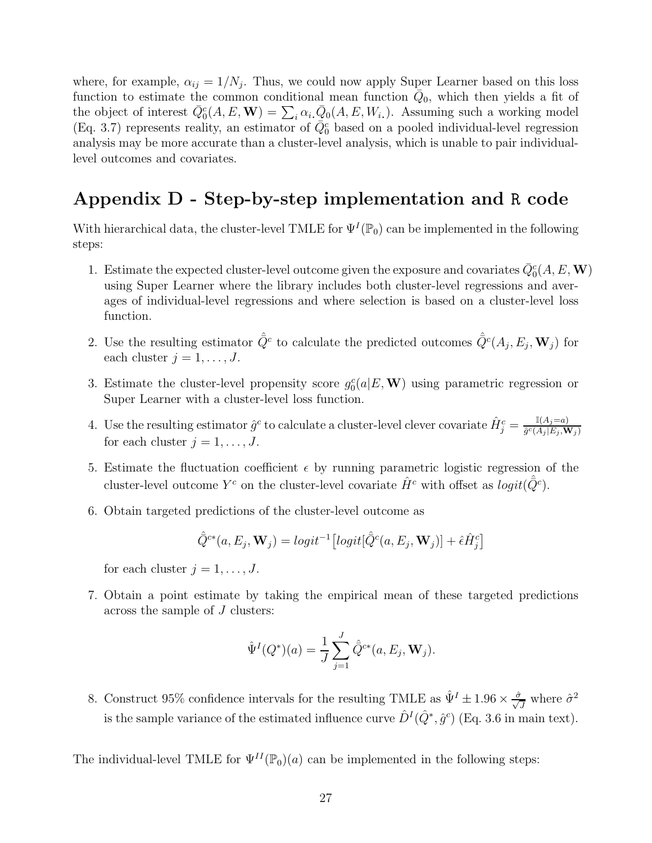where, for example,  $\alpha_{ij} = 1/N_j$ . Thus, we could now apply Super Learner based on this loss function to estimate the common conditional mean function  $\overline{Q}_0$ , which then yields a fit of the object of interest  $\bar{Q}_0^c(A, E, \mathbf{W}) = \sum_i \alpha_i \bar{Q}_0(A, E, W_i)$ . Assuming such a working model (Eq. 3.7) represents reality, an estimator of  $\overline{Q_0^c}$  based on a pooled individual-level regression analysis may be more accurate than a cluster-level analysis, which is unable to pair individuallevel outcomes and covariates.

## Appendix D - Step-by-step implementation and R code

With hierarchical data, the cluster-level TMLE for  $\Psi^I(\mathbb{P}_0)$  can be implemented in the following steps:

- 1. Estimate the expected cluster-level outcome given the exposure and covariates  $\bar{Q}_0^c(A, E, \mathbf{W})$ using Super Learner where the library includes both cluster-level regressions and averages of individual-level regressions and where selection is based on a cluster-level loss function.
- 2. Use the resulting estimator  $\hat{\bar{Q}}^c$  to calculate the predicted outcomes  $\hat{\bar{Q}}^c(A_j, E_j, \mathbf{W}_j)$  for each cluster  $j = 1, \ldots, J$ .
- 3. Estimate the cluster-level propensity score  $g_0^c(a|E, \mathbf{W})$  using parametric regression or Super Learner with a cluster-level loss function.
- 4. Use the resulting estimator  $\hat{g}^c$  to calculate a cluster-level clever covariate  $\hat{H}^c_j = \frac{\mathbb{I}(A_j = a)}{\hat{g}^c(A_j | E_i, \mathbf{W})}$  $\hat{g}^c(A_j|\overline{E_j},\mathbf{W}_j)$ for each cluster  $j = 1, \ldots, J$ .
- 5. Estimate the fluctuation coefficient  $\epsilon$  by running parametric logistic regression of the cluster-level outcome  $Y^c$  on the cluster-level covariate  $\hat{H}^c$  with offset as  $logit(\hat{\bar{Q}}^c)$ .
- 6. Obtain targeted predictions of the cluster-level outcome as

$$
\hat{\bar{Q}}^{c*}(a, E_j, \mathbf{W}_j) = logit^{-1}[logit[\hat{\bar{Q}}^c(a, E_j, \mathbf{W}_j)] + \hat{\epsilon}\hat{H}_j^c]
$$

for each cluster  $j = 1, \ldots, J$ .

7. Obtain a point estimate by taking the empirical mean of these targeted predictions across the sample of J clusters:

$$
\hat{\Psi}^{I}(Q^{*})(a) = \frac{1}{J} \sum_{j=1}^{J} \hat{Q}^{c*}(a, E_{j}, \mathbf{W}_{j}).
$$

8. Construct 95% confidence intervals for the resulting TMLE as  $\hat{\Psi}^I \pm 1.96 \times \frac{\hat{\sigma}}{\sqrt{J}}$  where  $\hat{\sigma}^2$ is the sample variance of the estimated influence curve  $\hat{D}^I(\hat{Q}^*, \hat{g}^c)$  (Eq. 3.6 in main text).

The individual-level TMLE for  $\Psi^{II}(\mathbb{P}_0)(a)$  can be implemented in the following steps: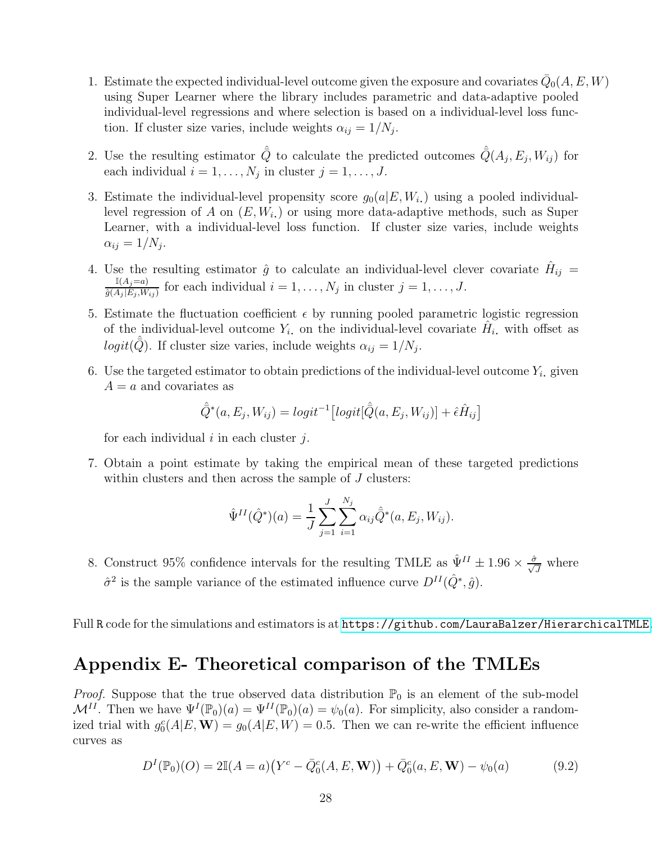- 1. Estimate the expected individual-level outcome given the exposure and covariates  $\bar{Q}_0(A, E, W)$ using Super Learner where the library includes parametric and data-adaptive pooled individual-level regressions and where selection is based on a individual-level loss function. If cluster size varies, include weights  $\alpha_{ij} = 1/N_j$ .
- 2. Use the resulting estimator  $\hat{\bar{Q}}$  to calculate the predicted outcomes  $\hat{\bar{Q}}(A_j, E_j, W_{ij})$  for each individual  $i = 1, \ldots, N_j$  in cluster  $j = 1, \ldots, J$ .
- 3. Estimate the individual-level propensity score  $g_0(a|E, W_i)$  using a pooled individuallevel regression of A on  $(E, W_i)$  or using more data-adaptive methods, such as Super Learner, with a individual-level loss function. If cluster size varies, include weights  $\alpha_{ij} = 1/N_j.$
- 4. Use the resulting estimator  $\hat{g}$  to calculate an individual-level clever covariate  $\hat{H}_{ij}$  =  $\mathbb{I}(A_j=a)$  $\frac{\Gamma(A_j=a)}{\hat{g}(A_j|E_j,W_{ij})}$  for each individual  $i=1,\ldots,N_j$  in cluster  $j=1,\ldots,J$ .
- 5. Estimate the fluctuation coefficient  $\epsilon$  by running pooled parametric logistic regression of the individual-level outcome  $Y_i$ , on the individual-level covariate  $\hat{H}_i$ , with offset as *logit*( $\hat{Q}$ ). If cluster size varies, include weights  $\alpha_{ij} = 1/N_j$ .
- 6. Use the targeted estimator to obtain predictions of the individual-level outcome  $Y_i$ , given  $A = a$  and covariates as

$$
\hat{\bar{Q}}^*(a, E_j, W_{ij}) = logit^{-1} [logit[\hat{\bar{Q}}(a, E_j, W_{ij})] + \hat{\epsilon}\hat{H}_{ij}]
$$

for each individual  $i$  in each cluster  $j$ .

7. Obtain a point estimate by taking the empirical mean of these targeted predictions within clusters and then across the sample of J clusters:

$$
\hat{\Psi}^{II}(\hat{Q}^*)(a) = \frac{1}{J} \sum_{j=1}^J \sum_{i=1}^{N_j} \alpha_{ij} \hat{\bar{Q}}^*(a, E_j, W_{ij}).
$$

8. Construct 95% confidence intervals for the resulting TMLE as  $\hat{\Psi}^{II} \pm 1.96 \times \frac{\hat{\sigma}}{\sqrt{J}}$  where  $\hat{\sigma}^2$  is the sample variance of the estimated influence curve  $D^{II}(\hat{Q}^*, \hat{g})$ .

Full R code for the simulations and estimators is at <https://github.com/LauraBalzer/HierarchicalTMLE>.

# Appendix E- Theoretical comparison of the TMLEs

*Proof.* Suppose that the true observed data distribution  $\mathbb{P}_0$  is an element of the sub-model  $\mathcal{M}^{II}$ . Then we have  $\Psi^{I}(\mathbb{P}_{0})(a) = \Psi^{II}(\mathbb{P}_{0})(a) = \psi_{0}(a)$ . For simplicity, also consider a randomized trial with  $g_0^c(A|E, \mathbf{W}) = g_0(A|E, W) = 0.5$ . Then we can re-write the efficient influence curves as

$$
D^{I}(\mathbb{P}_{0})(O) = 2\mathbb{I}(A = a)\left(Y^{c} - \bar{Q}_{0}^{c}(A, E, \mathbf{W})\right) + \bar{Q}_{0}^{c}(a, E, \mathbf{W}) - \psi_{0}(a)
$$
(9.2)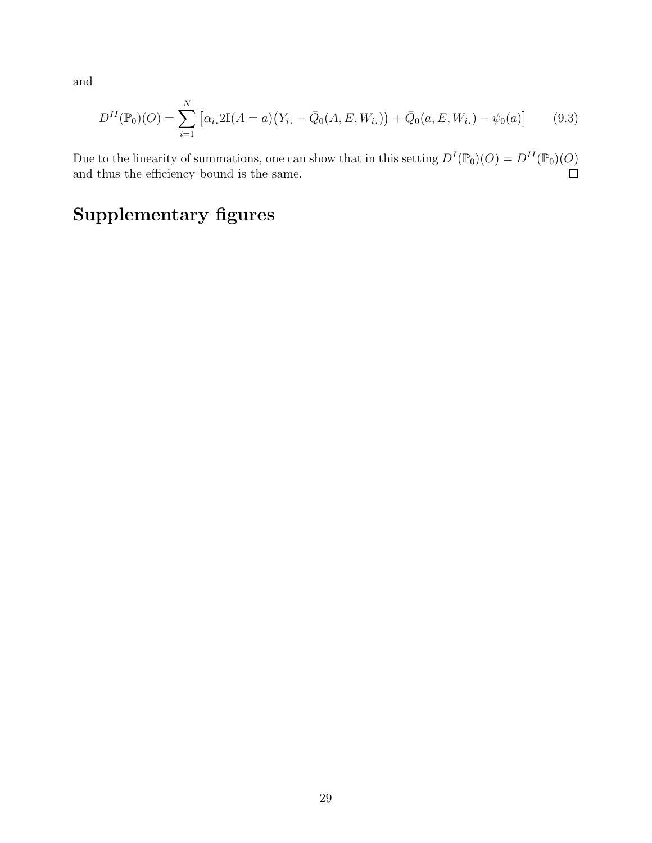and

$$
D^{II}(\mathbb{P}_0)(O) = \sum_{i=1}^N \left[ \alpha_i \cdot 2\mathbb{I}(A = a) \left( Y_i - \bar{Q}_0(A, E, W_i) \right) + \bar{Q}_0(a, E, W_i) - \psi_0(a) \right]
$$
(9.3)

Due to the linearity of summations, one can show that in this setting  $D^{I}(\mathbb{P}_{0})(O) = D^{II}(\mathbb{P}_{0})(O)$ and thus the efficiency bound is the same.

# Supplementary figures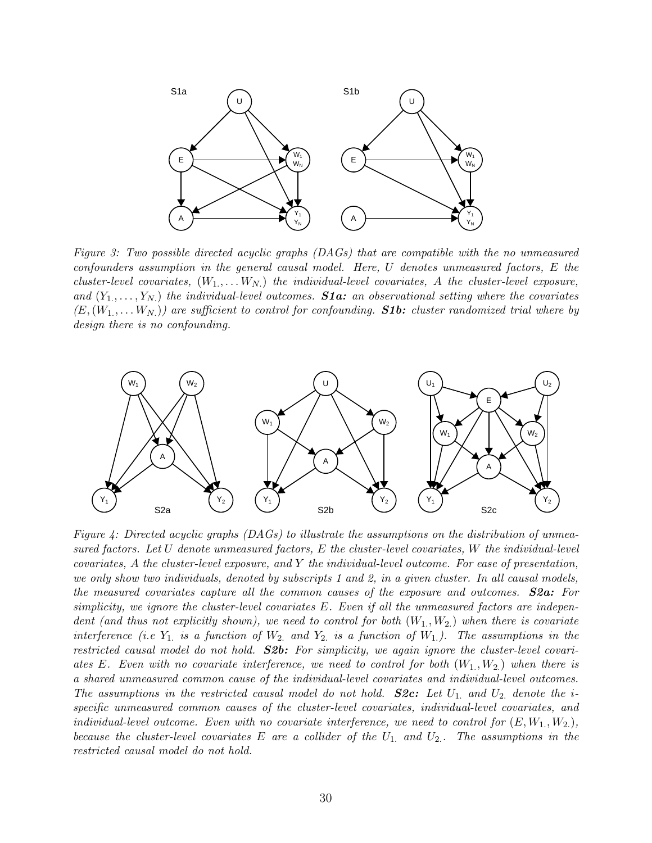

Figure 3: Two possible directed acyclic graphs (DAGs) that are compatible with the no unmeasured confounders assumption in the general causal model. Here, U denotes unmeasured factors, E the cluster-level covariates,  $(W_1, \ldots W_N)$  the individual-level covariates, A the cluster-level exposure, and  $(Y_1, \ldots, Y_N)$  the individual-level outcomes. **S1a:** an observational setting where the covariates  $(E, (W_1, \ldots W_N))$  are sufficient to control for confounding. **S1b:** cluster randomized trial where by design there is no confounding.



Figure 4: Directed acyclic graphs (DAGs) to illustrate the assumptions on the distribution of unmeasured factors. Let U denote unmeasured factors, E the cluster-level covariates, W the individual-level covariates, A the cluster-level exposure, and Y the individual-level outcome. For ease of presentation, we only show two individuals, denoted by subscripts 1 and 2, in a given cluster. In all causal models, the measured covariates capture all the common causes of the exposure and outcomes. **S2a:** For simplicity, we ignore the cluster-level covariates E. Even if all the unmeasured factors are independent (and thus not explicitly shown), we need to control for both  $(W_1, W_2)$  when there is covariate interference (i.e  $Y_1$  is a function of  $W_2$  and  $Y_2$  is a function of  $W_1$ ). The assumptions in the restricted causal model do not hold. **S2b:** For simplicity, we again ignore the cluster-level covariates E. Even with no covariate interference, we need to control for both  $(W_1, W_2)$  when there is a shared unmeasured common cause of the individual-level covariates and individual-level outcomes. The assumptions in the restricted causal model do not hold. **S2c:** Let  $U_1$  and  $U_2$  denote the ispecific unmeasured common causes of the cluster-level covariates, individual-level covariates, and individual-level outcome. Even with no covariate interference, we need to control for  $(E, W_1, W_2)$ , because the cluster-level covariates  $E$  are a collider of the  $U_1$  and  $U_2$ . The assumptions in the restricted causal model do not hold.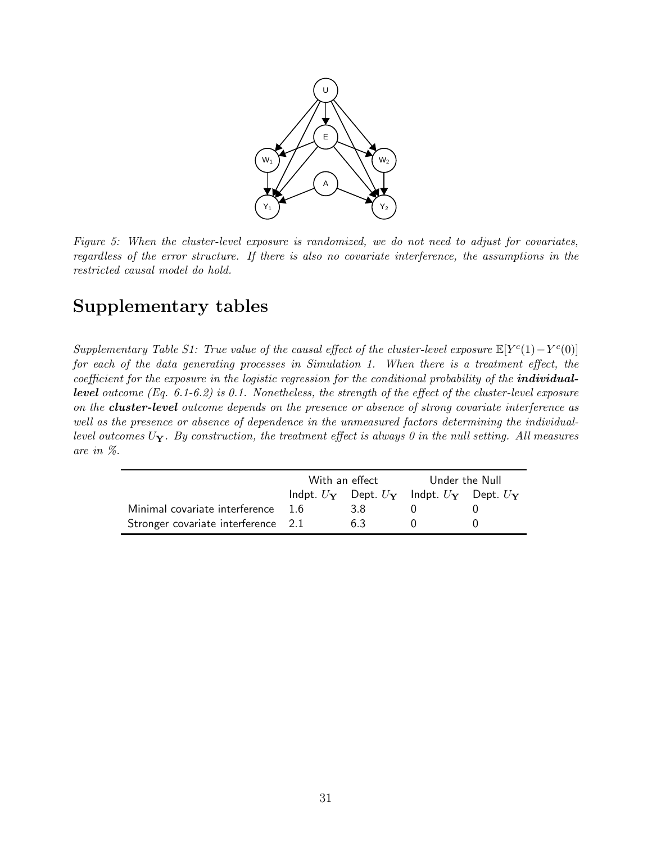

Figure 5: When the cluster-level exposure is randomized, we do not need to adjust for covariates, regardless of the error structure. If there is also no covariate interference, the assumptions in the restricted causal model do hold.

## Supplementary tables

Supplementary Table S1: True value of the causal effect of the cluster-level exposure  $\mathbb{E}[Y^c(1) - Y^c(0)]$ for each of the data generating processes in Simulation 1. When there is a treatment effect, the coefficient for the exposure in the logistic regression for the conditional probability of the **individual**level outcome (Eq. 6.1-6.2) is 0.1. Nonetheless, the strength of the effect of the cluster-level exposure on the **cluster-level** outcome depends on the presence or absence of strong covariate interference as well as the presence or absence of dependence in the unmeasured factors determining the individuallevel outcomes  $U_Y$ . By construction, the treatment effect is always 0 in the null setting. All measures are in %.

|                                     |    | With an effect | Under the Null                                    |  |  |
|-------------------------------------|----|----------------|---------------------------------------------------|--|--|
|                                     |    |                | Indpt. $U_Y$ Dept. $U_Y$ Indpt. $U_Y$ Dept. $U_Y$ |  |  |
| Minimal covariate interference      | 16 | 38             |                                                   |  |  |
| Stronger covariate interference 2.1 |    | 63             |                                                   |  |  |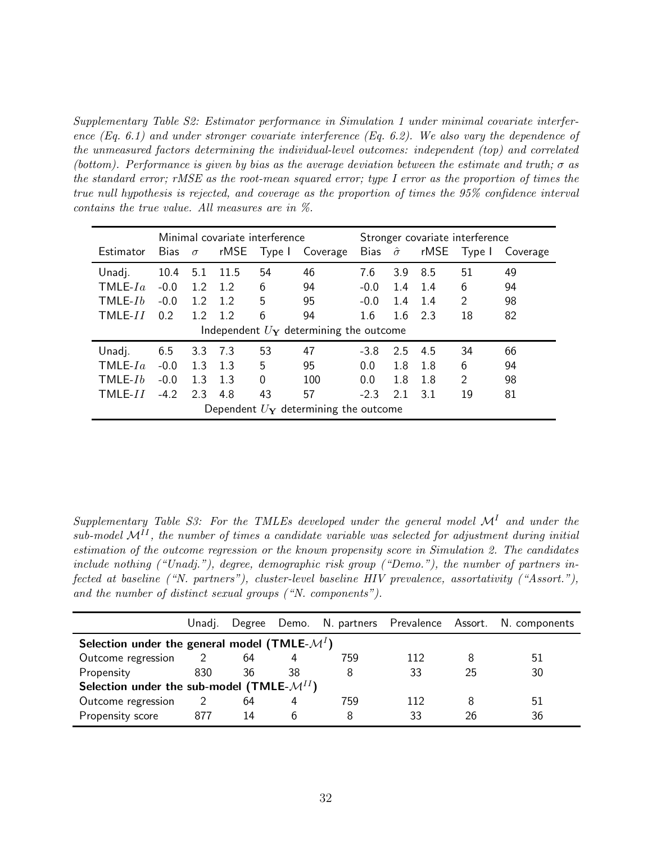Supplementary Table S2: Estimator performance in Simulation 1 under minimal covariate interference  $(Eq. 6.1)$  and under stronger covariate interference  $(Eq. 6.2)$ . We also vary the dependence of the unmeasured factors determining the individual-level outcomes: independent (top) and correlated (bottom). Performance is given by bias as the average deviation between the estimate and truth;  $\sigma$  as the standard error; rMSE as the root-mean squared error; type I error as the proportion of times the true null hypothesis is rejected, and coverage as the proportion of times the 95% confidence interval contains the true value. All measures are in %.

|                                         | Minimal covariate interference |          |      |          |                                           | Stronger covariate interference |                |      |               |          |
|-----------------------------------------|--------------------------------|----------|------|----------|-------------------------------------------|---------------------------------|----------------|------|---------------|----------|
| Estimator                               | Bias                           | $\sigma$ | rMSE | Type I   | Coverage                                  | <b>Bias</b>                     | $\hat{\sigma}$ | rMSE | Type I        | Coverage |
| Unadj.                                  | 10.4                           | 5.1      | 11.5 | 54       | 46                                        | 7.6                             | 3.9            | 8.5  | 51            | 49       |
| TMLE- $Ia$                              | $-0.0$                         | 1.2      | 1.2  | 6        | 94                                        | $-0.0$                          | 1.4            | 1.4  | 6             | 94       |
| $TMLE-Ib$                               | $-0.0$                         | 1.2      | 1.2  | 5        | 95                                        | $-0.0$                          | 1.4            | 1.4  | 2             | 98       |
| $TMLE-II$                               | 0.2                            | 1.2      | 1.2  | 6        | 94                                        | 1.6                             | 1.6            | 2.3  | 18            | 82       |
|                                         |                                |          |      |          | Independent $U_Y$ determining the outcome |                                 |                |      |               |          |
| Unadj.                                  | 6.5                            | 3.3      | 7.3  | 53       | 47                                        | $-3.8$                          | 2.5            | 4.5  | 34            | 66       |
| TMLE- $Ia$                              | $-0.0$                         | 1.3      | 1.3  | 5        | 95                                        | 0.0                             | 1.8            | 1.8  | 6             | 94       |
| $TMLE-Ib$                               | $-0.0$                         | 1.3      | 1.3  | $\Omega$ | 100                                       | 0.0                             | 1.8            | 1.8  | $\mathcal{P}$ | 98       |
| $TMLE-II$                               | $-4.2$                         | 2.3      | 4.8  | 43       | 57                                        | $-2.3$                          | 2.1            | 3.1  | 19            | 81       |
| Dependent $U_Y$ determining the outcome |                                |          |      |          |                                           |                                 |                |      |               |          |

Supplementary Table S3: For the TMLEs developed under the general model  $\mathcal{M}^I$  and under the sub-model  $\mathcal{M}^{II}$ , the number of times a candidate variable was selected for adjustment during initial estimation of the outcome regression or the known propensity score in Simulation 2. The candidates include nothing ("Unadj."), degree, demographic risk group ("Demo."), the number of partners infected at baseline ("N. partners"), cluster-level baseline HIV prevalence, assortativity ("Assort."), and the number of distinct sexual groups ("N. components").

|                                                              | Unadi. |    |    |     |     |    | Degree Demo. N. partners Prevalence Assort. N. components |  |  |  |
|--------------------------------------------------------------|--------|----|----|-----|-----|----|-----------------------------------------------------------|--|--|--|
| Selection under the general model (TMLE- $\mathcal{M}^{I}$ ) |        |    |    |     |     |    |                                                           |  |  |  |
| Outcome regression                                           |        | 64 | 4  | 759 | 112 | 8  | 51                                                        |  |  |  |
| Propensity                                                   | 830    | 36 | 38 |     | 33  | 25 | 30                                                        |  |  |  |
| Selection under the sub-model (TMLE- $\mathcal{M}^{II}$ )    |        |    |    |     |     |    |                                                           |  |  |  |
| Outcome regression                                           |        | 64 | 4  | 759 | 112 | 8  | 51                                                        |  |  |  |
| Propensity score                                             | 877    | 14 | b  | 8   | 33  | 26 | 36                                                        |  |  |  |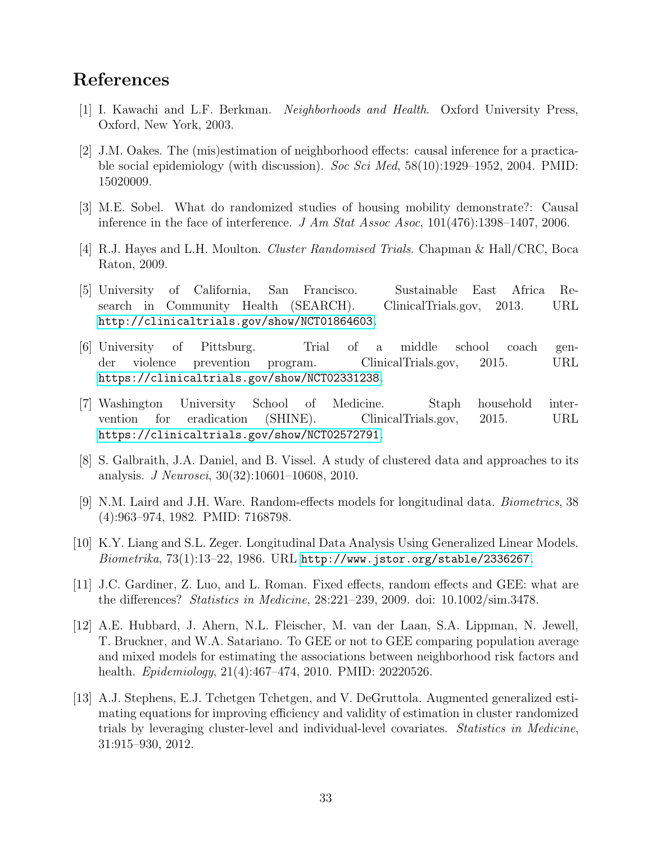## References

- <span id="page-32-0"></span>[1] I. Kawachi and L.F. Berkman. Neighborhoods and Health. Oxford University Press, Oxford, New York, 2003.
- [2] J.M. Oakes. The (mis)estimation of neighborhood effects: causal inference for a practicable social epidemiology (with discussion). Soc Sci Med, 58(10):1929–1952, 2004. PMID: 15020009.
- <span id="page-32-1"></span>[3] M.E. Sobel. What do randomized studies of housing mobility demonstrate?: Causal inference in the face of interference. J Am Stat Assoc Asoc, 101(476):1398–1407, 2006.
- <span id="page-32-2"></span>[4] R.J. Hayes and L.H. Moulton. Cluster Randomised Trials. Chapman & Hall/CRC, Boca Raton, 2009.
- <span id="page-32-3"></span>[5] University of California, San Francisco. Sustainable East Africa Research in Community Health (SEARCH). ClinicalTrials.gov, 2013. URL <http://clinicaltrials.gov/show/NCT01864603>.
- <span id="page-32-4"></span>[6] University of Pittsburg. Trial of a middle school coach gender violence prevention program. ClinicalTrials.gov, 2015. URL <https://clinicaltrials.gov/show/NCT02331238>.
- <span id="page-32-5"></span>[7] Washington University School of Medicine. Staph household intervention for eradication (SHINE). ClinicalTrials.gov, 2015. URL <https://clinicaltrials.gov/show/NCT02572791>.
- <span id="page-32-6"></span>[8] S. Galbraith, J.A. Daniel, and B. Vissel. A study of clustered data and approaches to its analysis. J Neurosci, 30(32):10601–10608, 2010.
- <span id="page-32-7"></span>[9] N.M. Laird and J.H. Ware. Random-effects models for longitudinal data. Biometrics, 38 (4):963–974, 1982. PMID: 7168798.
- <span id="page-32-8"></span>[10] K.Y. Liang and S.L. Zeger. Longitudinal Data Analysis Using Generalized Linear Models.  $Biometrika$ ,  $73(1):13-22$ , 1986. URL <http://www.jstor.org/stable/2336267>.
- <span id="page-32-9"></span>[11] J.C. Gardiner, Z. Luo, and L. Roman. Fixed effects, random effects and GEE: what are the differences? Statistics in Medicine, 28:221–239, 2009. doi: 10.1002/sim.3478.
- <span id="page-32-10"></span>[12] A.E. Hubbard, J. Ahern, N.L. Fleischer, M. van der Laan, S.A. Lippman, N. Jewell, T. Bruckner, and W.A. Satariano. To GEE or not to GEE comparing population average and mixed models for estimating the associations between neighborhood risk factors and health. Epidemiology, 21(4):467–474, 2010. PMID: 20220526.
- <span id="page-32-11"></span>[13] A.J. Stephens, E.J. Tchetgen Tchetgen, and V. DeGruttola. Augmented generalized estimating equations for improving efficiency and validity of estimation in cluster randomized trials by leveraging cluster-level and individual-level covariates. Statistics in Medicine, 31:915–930, 2012.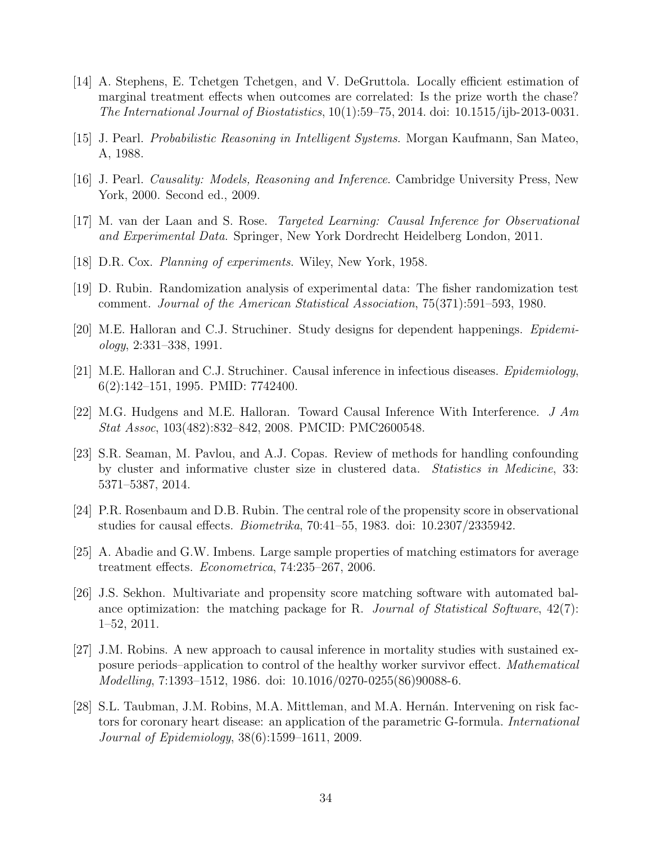- <span id="page-33-0"></span>[14] A. Stephens, E. Tchetgen Tchetgen, and V. DeGruttola. Locally efficient estimation of marginal treatment effects when outcomes are correlated: Is the prize worth the chase? The International Journal of Biostatistics, 10(1):59–75, 2014. doi: 10.1515/ijb-2013-0031.
- <span id="page-33-1"></span>[15] J. Pearl. Probabilistic Reasoning in Intelligent Systems. Morgan Kaufmann, San Mateo, A, 1988.
- <span id="page-33-10"></span>[16] J. Pearl. Causality: Models, Reasoning and Inference. Cambridge University Press, New York, 2000. Second ed., 2009.
- <span id="page-33-2"></span>[17] M. van der Laan and S. Rose. Targeted Learning: Causal Inference for Observational and Experimental Data. Springer, New York Dordrecht Heidelberg London, 2011.
- <span id="page-33-3"></span>[18] D.R. Cox. Planning of experiments. Wiley, New York, 1958.
- <span id="page-33-9"></span>[19] D. Rubin. Randomization analysis of experimental data: The fisher randomization test comment. Journal of the American Statistical Association, 75(371):591–593, 1980.
- <span id="page-33-11"></span>[20] M.E. Halloran and C.J. Struchiner. Study designs for dependent happenings. Epidemiology, 2:331–338, 1991.
- <span id="page-33-12"></span>[21] M.E. Halloran and C.J. Struchiner. Causal inference in infectious diseases. Epidemiology, 6(2):142–151, 1995. PMID: 7742400.
- <span id="page-33-4"></span>[22] M.G. Hudgens and M.E. Halloran. Toward Causal Inference With Interference.  $J \ Am$ Stat Assoc, 103(482):832–842, 2008. PMCID: PMC2600548.
- <span id="page-33-5"></span>[23] S.R. Seaman, M. Pavlou, and A.J. Copas. Review of methods for handling confounding by cluster and informative cluster size in clustered data. Statistics in Medicine, 33: 5371–5387, 2014.
- <span id="page-33-6"></span>[24] P.R. Rosenbaum and D.B. Rubin. The central role of the propensity score in observational studies for causal effects. Biometrika, 70:41–55, 1983. doi: 10.2307/2335942.
- [25] A. Abadie and G.W. Imbens. Large sample properties of matching estimators for average treatment effects. Econometrica, 74:235–267, 2006.
- <span id="page-33-7"></span>[26] J.S. Sekhon. Multivariate and propensity score matching software with automated balance optimization: the matching package for R. Journal of Statistical Software,  $42(7)$ : 1–52, 2011.
- <span id="page-33-8"></span>[27] J.M. Robins. A new approach to causal inference in mortality studies with sustained exposure periods–application to control of the healthy worker survivor effect. Mathematical Modelling, 7:1393–1512, 1986. doi: 10.1016/0270-0255(86)90088-6.
- [28] S.L. Taubman, J.M. Robins, M.A. Mittleman, and M.A. Hernán. Intervening on risk factors for coronary heart disease: an application of the parametric G-formula. International Journal of Epidemiology, 38(6):1599–1611, 2009.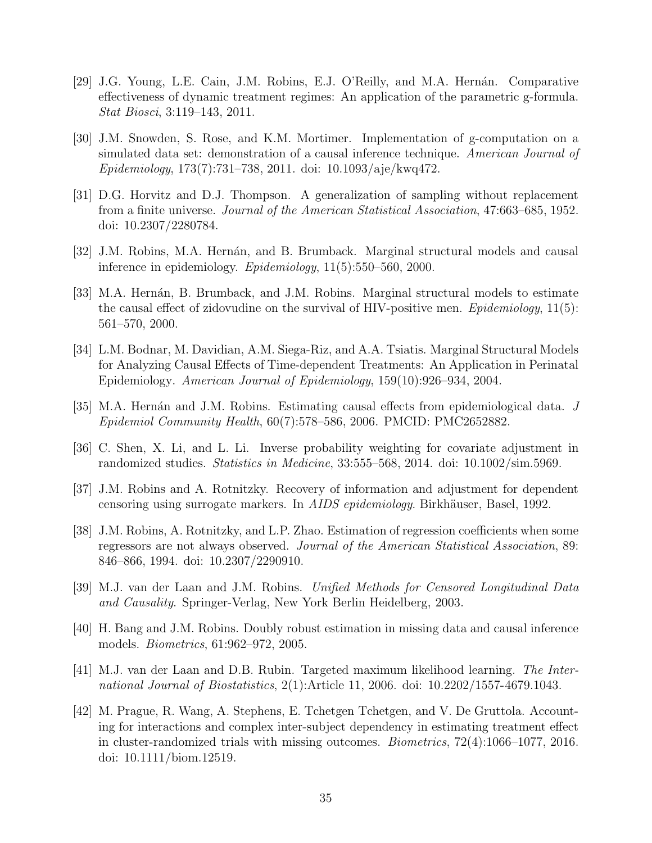- [29] J.G. Young, L.E. Cain, J.M. Robins, E.J. O'Reilly, and M.A. Hernán. Comparative effectiveness of dynamic treatment regimes: An application of the parametric g-formula. Stat Biosci, 3:119–143, 2011.
- <span id="page-34-0"></span>[30] J.M. Snowden, S. Rose, and K.M. Mortimer. Implementation of g-computation on a simulated data set: demonstration of a causal inference technique. American Journal of Epidemiology, 173(7):731–738, 2011. doi: 10.1093/aje/kwq472.
- <span id="page-34-1"></span>[31] D.G. Horvitz and D.J. Thompson. A generalization of sampling without replacement from a finite universe. Journal of the American Statistical Association, 47:663–685, 1952. doi: 10.2307/2280784.
- [32] J.M. Robins, M.A. Hernán, and B. Brumback. Marginal structural models and causal inference in epidemiology. Epidemiology, 11(5):550–560, 2000.
- [33] M.A. Hernán, B. Brumback, and J.M. Robins. Marginal structural models to estimate the causal effect of zidovudine on the survival of HIV-positive men.  $Epidemiology$ , 11(5): 561–570, 2000.
- [34] L.M. Bodnar, M. Davidian, A.M. Siega-Riz, and A.A. Tsiatis. Marginal Structural Models for Analyzing Causal Effects of Time-dependent Treatments: An Application in Perinatal Epidemiology. American Journal of Epidemiology, 159(10):926–934, 2004.
- [35] M.A. Hernán and J.M. Robins. Estimating causal effects from epidemiological data. J Epidemiol Community Health, 60(7):578–586, 2006. PMCID: PMC2652882.
- <span id="page-34-2"></span>[36] C. Shen, X. Li, and L. Li. Inverse probability weighting for covariate adjustment in randomized studies. Statistics in Medicine, 33:555–568, 2014. doi: 10.1002/sim.5969.
- <span id="page-34-3"></span>[37] J.M. Robins and A. Rotnitzky. Recovery of information and adjustment for dependent censoring using surrogate markers. In *AIDS epidemiology*. Birkhäuser, Basel, 1992.
- [38] J.M. Robins, A. Rotnitzky, and L.P. Zhao. Estimation of regression coefficients when some regressors are not always observed. Journal of the American Statistical Association, 89: 846–866, 1994. doi: 10.2307/2290910.
- [39] M.J. van der Laan and J.M. Robins. Unified Methods for Censored Longitudinal Data and Causality. Springer-Verlag, New York Berlin Heidelberg, 2003.
- [40] H. Bang and J.M. Robins. Doubly robust estimation in missing data and causal inference models. Biometrics, 61:962–972, 2005.
- <span id="page-34-4"></span>[41] M.J. van der Laan and D.B. Rubin. Targeted maximum likelihood learning. The International Journal of Biostatistics, 2(1):Article 11, 2006. doi: 10.2202/1557-4679.1043.
- <span id="page-34-5"></span>[42] M. Prague, R. Wang, A. Stephens, E. Tchetgen Tchetgen, and V. De Gruttola. Accounting for interactions and complex inter-subject dependency in estimating treatment effect in cluster-randomized trials with missing outcomes. Biometrics, 72(4):1066–1077, 2016. doi: 10.1111/biom.12519.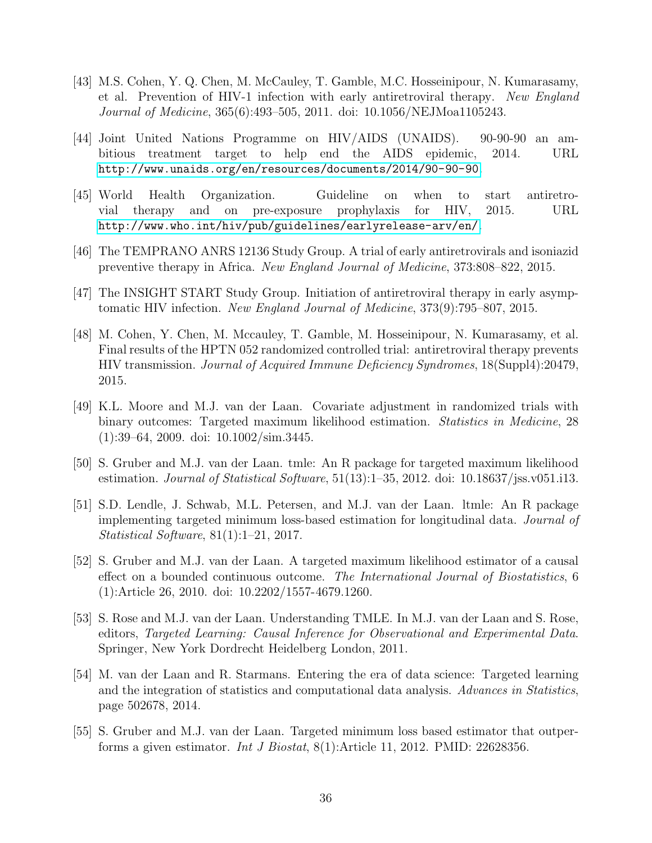- <span id="page-35-0"></span>[43] M.S. Cohen, Y. Q. Chen, M. McCauley, T. Gamble, M.C. Hosseinipour, N. Kumarasamy, et al. Prevention of HIV-1 infection with early antiretroviral therapy. New England Journal of Medicine, 365(6):493–505, 2011. doi: 10.1056/NEJMoa1105243.
- [44] Joint United Nations Programme on HIV/AIDS (UNAIDS). 90-90-90 an ambitious treatment target to help end the AIDS epidemic, 2014. URL <http://www.unaids.org/en/resources/documents/2014/90-90-90>.
- <span id="page-35-9"></span>[45] World Health Organization. Guideline on when to start antiretrovial therapy and on pre-exposure prophylaxis for HIV, 2015. URL <http://www.who.int/hiv/pub/guidelines/earlyrelease-arv/en/>.
- [46] The TEMPRANO ANRS 12136 Study Group. A trial of early antiretrovirals and isoniazid preventive therapy in Africa. New England Journal of Medicine, 373:808–822, 2015.
- [47] The INSIGHT START Study Group. Initiation of antiretroviral therapy in early asymptomatic HIV infection. New England Journal of Medicine, 373(9):795–807, 2015.
- <span id="page-35-1"></span>[48] M. Cohen, Y. Chen, M. Mccauley, T. Gamble, M. Hosseinipour, N. Kumarasamy, et al. Final results of the HPTN 052 randomized controlled trial: antiretroviral therapy prevents HIV transmission. Journal of Acquired Immune Deficiency Syndromes, 18(Suppl4):20479, 2015.
- <span id="page-35-2"></span>[49] K.L. Moore and M.J. van der Laan. Covariate adjustment in randomized trials with binary outcomes: Targeted maximum likelihood estimation. Statistics in Medicine, 28 (1):39–64, 2009. doi: 10.1002/sim.3445.
- <span id="page-35-3"></span>[50] S. Gruber and M.J. van der Laan. tmle: An R package for targeted maximum likelihood estimation. Journal of Statistical Software, 51(13):1–35, 2012. doi: 10.18637/jss.v051.i13.
- <span id="page-35-4"></span>[51] S.D. Lendle, J. Schwab, M.L. Petersen, and M.J. van der Laan. ltmle: An R package implementing targeted minimum loss-based estimation for longitudinal data. Journal of Statistical Software, 81(1):1–21, 2017.
- <span id="page-35-5"></span>[52] S. Gruber and M.J. van der Laan. A targeted maximum likelihood estimator of a causal effect on a bounded continuous outcome. The International Journal of Biostatistics, 6 (1):Article 26, 2010. doi: 10.2202/1557-4679.1260.
- <span id="page-35-6"></span>[53] S. Rose and M.J. van der Laan. Understanding TMLE. In M.J. van der Laan and S. Rose, editors, Targeted Learning: Causal Inference for Observational and Experimental Data. Springer, New York Dordrecht Heidelberg London, 2011.
- <span id="page-35-7"></span>[54] M. van der Laan and R. Starmans. Entering the era of data science: Targeted learning and the integration of statistics and computational data analysis. Advances in Statistics, page 502678, 2014.
- <span id="page-35-8"></span>[55] S. Gruber and M.J. van der Laan. Targeted minimum loss based estimator that outperforms a given estimator. Int J Biostat,  $8(1)$ :Article 11, 2012. PMID: 22628356.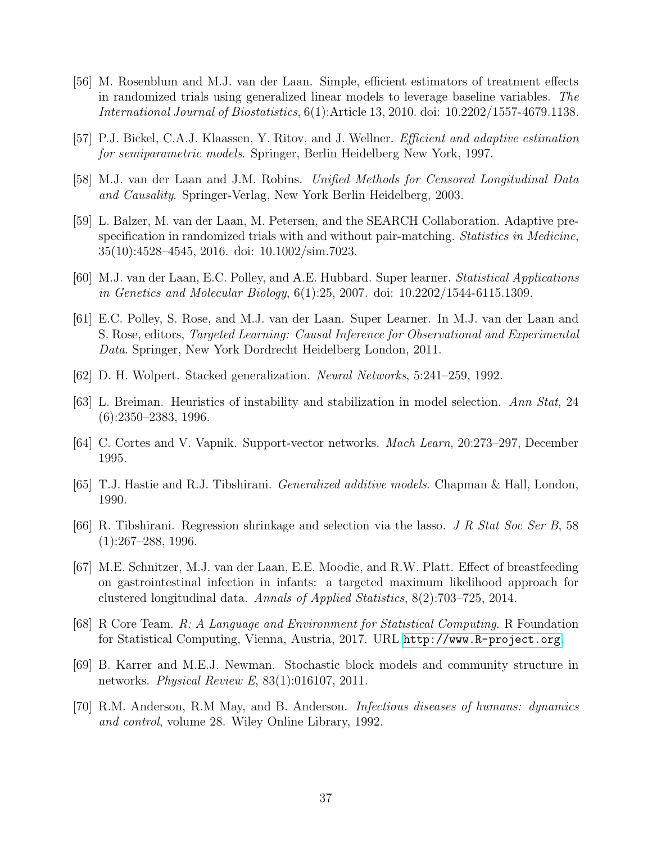- <span id="page-36-0"></span>[56] M. Rosenblum and M.J. van der Laan. Simple, efficient estimators of treatment effects in randomized trials using generalized linear models to leverage baseline variables. The International Journal of Biostatistics, 6(1):Article 13, 2010. doi: 10.2202/1557-4679.1138.
- <span id="page-36-1"></span>[57] P.J. Bickel, C.A.J. Klaassen, Y. Ritov, and J. Wellner. Efficient and adaptive estimation for semiparametric models. Springer, Berlin Heidelberg New York, 1997.
- <span id="page-36-2"></span>[58] M.J. van der Laan and J.M. Robins. Unified Methods for Censored Longitudinal Data and Causality. Springer-Verlag, New York Berlin Heidelberg, 2003.
- <span id="page-36-3"></span>[59] L. Balzer, M. van der Laan, M. Petersen, and the SEARCH Collaboration. Adaptive prespecification in randomized trials with and without pair-matching. Statistics in Medicine, 35(10):4528–4545, 2016. doi: 10.1002/sim.7023.
- <span id="page-36-4"></span>[60] M.J. van der Laan, E.C. Polley, and A.E. Hubbard. Super learner. Statistical Applications in Genetics and Molecular Biology, 6(1):25, 2007. doi: 10.2202/1544-6115.1309.
- <span id="page-36-5"></span>[61] E.C. Polley, S. Rose, and M.J. van der Laan. Super Learner. In M.J. van der Laan and S. Rose, editors, Targeted Learning: Causal Inference for Observational and Experimental Data. Springer, New York Dordrecht Heidelberg London, 2011.
- <span id="page-36-6"></span>[62] D. H. Wolpert. Stacked generalization. Neural Networks, 5:241–259, 1992.
- <span id="page-36-7"></span>[63] L. Breiman. Heuristics of instability and stabilization in model selection. Ann Stat, 24 (6):2350–2383, 1996.
- <span id="page-36-8"></span>[64] C. Cortes and V. Vapnik. Support-vector networks. Mach Learn, 20:273–297, December 1995.
- <span id="page-36-9"></span>[65] T.J. Hastie and R.J. Tibshirani. Generalized additive models. Chapman & Hall, London, 1990.
- <span id="page-36-10"></span>[66] R. Tibshirani. Regression shrinkage and selection via the lasso. J R Stat Soc Ser B, 58  $(1):267-288, 1996.$
- <span id="page-36-11"></span>[67] M.E. Schnitzer, M.J. van der Laan, E.E. Moodie, and R.W. Platt. Effect of breastfeeding on gastrointestinal infection in infants: a targeted maximum likelihood approach for clustered longitudinal data. Annals of Applied Statistics, 8(2):703–725, 2014.
- <span id="page-36-12"></span> $[68]$  R Core Team. R: A Language and Environment for Statistical Computing. R Foundation for Statistical Computing, Vienna, Austria, 2017. URL <http://www.R-project.org>.
- <span id="page-36-13"></span>[69] B. Karrer and M.E.J. Newman. Stochastic block models and community structure in networks. Physical Review E, 83(1):016107, 2011.
- <span id="page-36-14"></span>[70] R.M. Anderson, R.M May, and B. Anderson. Infectious diseases of humans: dynamics and control, volume 28. Wiley Online Library, 1992.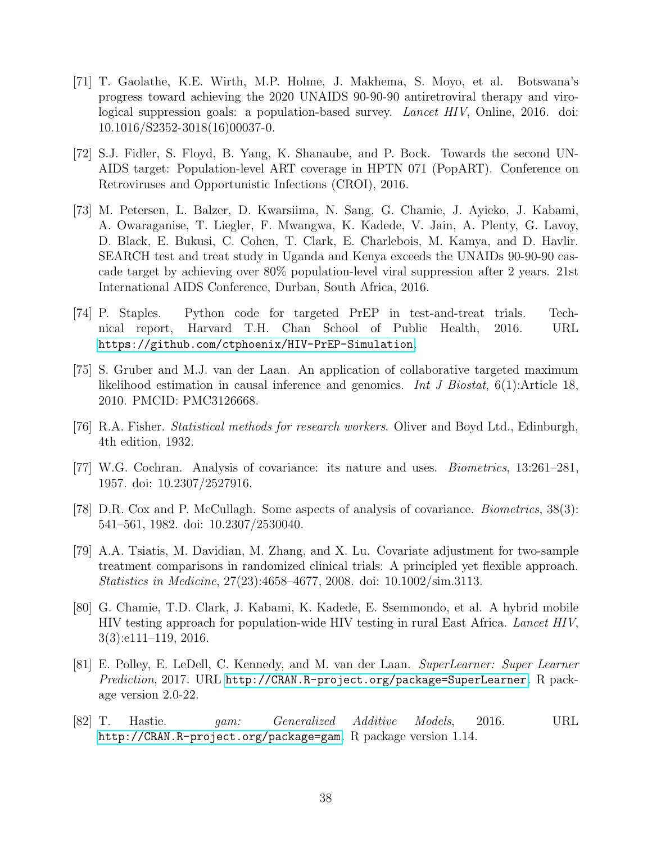- <span id="page-37-0"></span>[71] T. Gaolathe, K.E. Wirth, M.P. Holme, J. Makhema, S. Moyo, et al. Botswana's progress toward achieving the 2020 UNAIDS 90-90-90 antiretroviral therapy and virological suppression goals: a population-based survey. Lancet HIV, Online, 2016. doi: 10.1016/S2352-3018(16)00037-0.
- [72] S.J. Fidler, S. Floyd, B. Yang, K. Shanaube, and P. Bock. Towards the second UN-AIDS target: Population-level ART coverage in HPTN 071 (PopART). Conference on Retroviruses and Opportunistic Infections (CROI), 2016.
- <span id="page-37-1"></span>[73] M. Petersen, L. Balzer, D. Kwarsiima, N. Sang, G. Chamie, J. Ayieko, J. Kabami, A. Owaraganise, T. Liegler, F. Mwangwa, K. Kadede, V. Jain, A. Plenty, G. Lavoy, D. Black, E. Bukusi, C. Cohen, T. Clark, E. Charlebois, M. Kamya, and D. Havlir. SEARCH test and treat study in Uganda and Kenya exceeds the UNAIDs 90-90-90 cascade target by achieving over 80% population-level viral suppression after 2 years. 21st International AIDS Conference, Durban, South Africa, 2016.
- <span id="page-37-2"></span>[74] P. Staples. Python code for targeted PrEP in test-and-treat trials. Technical report, Harvard T.H. Chan School of Public Health, 2016. URL <https://github.com/ctphoenix/HIV-PrEP-Simulation>.
- <span id="page-37-3"></span>[75] S. Gruber and M.J. van der Laan. An application of collaborative targeted maximum likelihood estimation in causal inference and genomics. *Int J Biostat*, 6(1):Article 18, 2010. PMCID: PMC3126668.
- <span id="page-37-4"></span>[76] R.A. Fisher. Statistical methods for research workers. Oliver and Boyd Ltd., Edinburgh, 4th edition, 1932.
- [77] W.G. Cochran. Analysis of covariance: its nature and uses. Biometrics, 13:261–281, 1957. doi: 10.2307/2527916.
- [78] D.R. Cox and P. McCullagh. Some aspects of analysis of covariance. Biometrics, 38(3): 541–561, 1982. doi: 10.2307/2530040.
- <span id="page-37-5"></span>[79] A.A. Tsiatis, M. Davidian, M. Zhang, and X. Lu. Covariate adjustment for two-sample treatment comparisons in randomized clinical trials: A principled yet flexible approach. Statistics in Medicine, 27(23):4658–4677, 2008. doi: 10.1002/sim.3113.
- <span id="page-37-6"></span>[80] G. Chamie, T.D. Clark, J. Kabami, K. Kadede, E. Ssemmondo, et al. A hybrid mobile HIV testing approach for population-wide HIV testing in rural East Africa. Lancet HIV, 3(3):e111–119, 2016.
- <span id="page-37-7"></span>[81] E. Polley, E. LeDell, C. Kennedy, and M. van der Laan. SuperLearner: Super Learner Prediction, 2017. URL <http://CRAN.R-project.org/package=SuperLearner>. R package version 2.0-22.
- <span id="page-37-8"></span>[82] T. Hastie. gam: Generalized Additive Models, 2016. URL <http://CRAN.R-project.org/package=gam>. R package version 1.14.